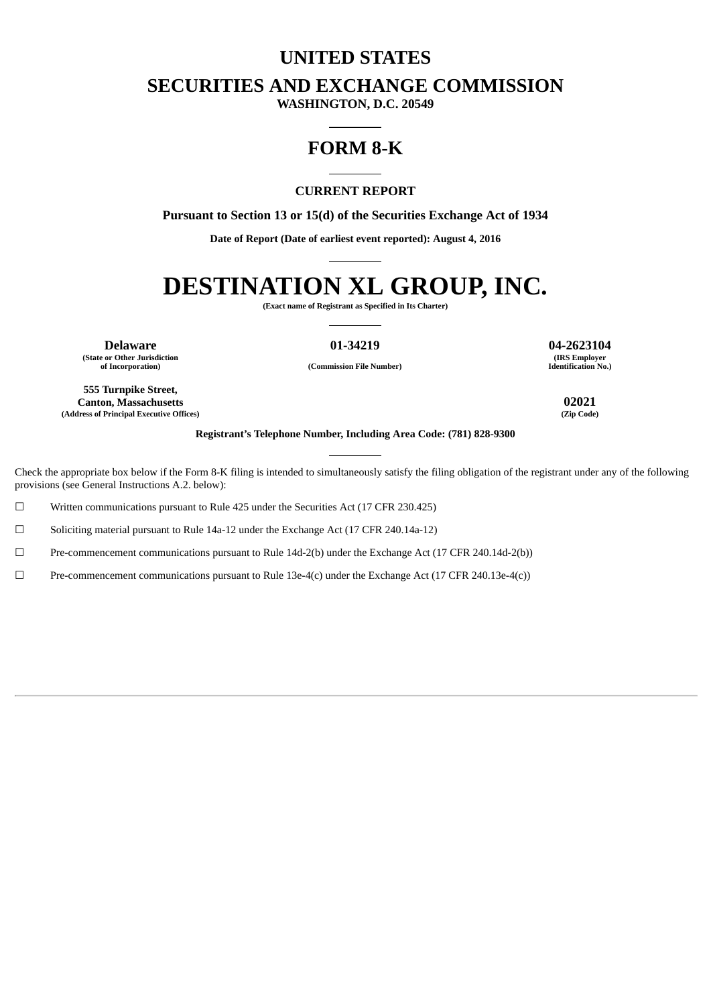# **UNITED STATES**

**SECURITIES AND EXCHANGE COMMISSION**

**WASHINGTON, D.C. 20549**

# **FORM 8-K**

### **CURRENT REPORT**

**Pursuant to Section 13 or 15(d) of the Securities Exchange Act of 1934**

**Date of Report (Date of earliest event reported): August 4, 2016**

# **DESTINATION XL GROUP, INC.**

**(Exact name of Registrant as Specified in Its Charter)**

**Delaware 01-34219 04-2623104 (State or Other Jurisdiction**

**(IRS Employer Identification No.)**

**of Incorporation) (Commission File Number)**

**555 Turnpike Street, Canton, Massachusetts 02021 (Address of Principal Executive Offices)** 

**Registrant's Telephone Number, Including Area Code: (781) 828-9300**

Check the appropriate box below if the Form 8-K filing is intended to simultaneously satisfy the filing obligation of the registrant under any of the following provisions (see General Instructions A.2. below):

☐ Written communications pursuant to Rule 425 under the Securities Act (17 CFR 230.425)

☐ Soliciting material pursuant to Rule 14a-12 under the Exchange Act (17 CFR 240.14a-12)

☐ Pre-commencement communications pursuant to Rule 14d-2(b) under the Exchange Act (17 CFR 240.14d-2(b))

 $\Box$  Pre-commencement communications pursuant to Rule 13e-4(c) under the Exchange Act (17 CFR 240.13e-4(c))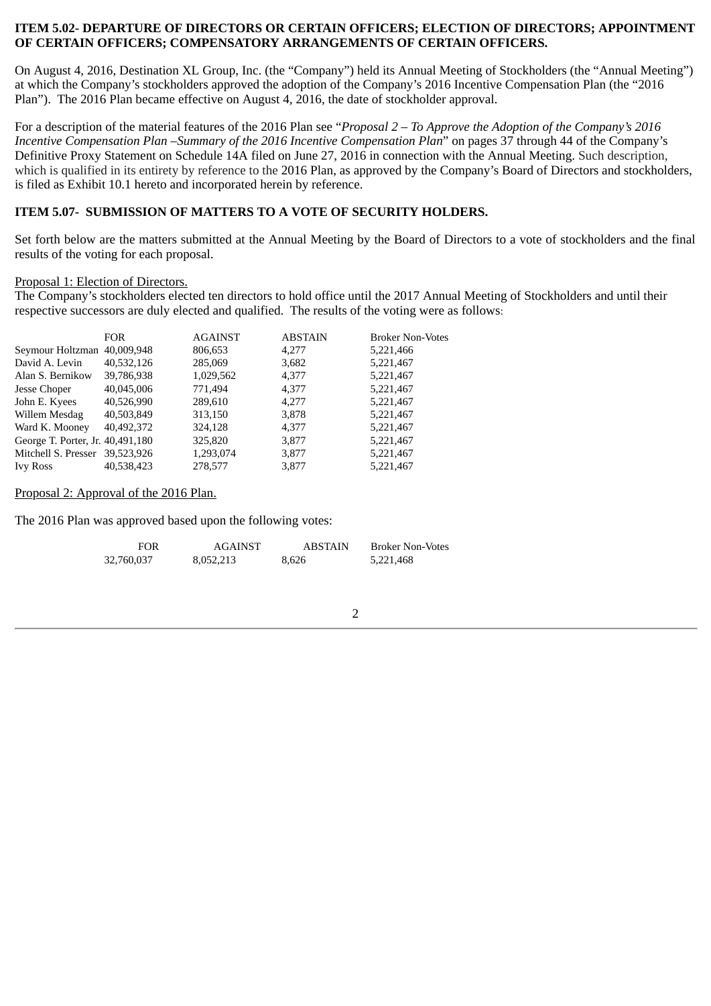### **ITEM 5.02- DEPARTURE OF DIRECTORS OR CERTAIN OFFICERS; ELECTION OF DIRECTORS; APPOINTMENT OF CERTAIN OFFICERS; COMPENSATORY ARRANGEMENTS OF CERTAIN OFFICERS.**

On August 4, 2016, Destination XL Group, Inc. (the "Company") held its Annual Meeting of Stockholders (the "Annual Meeting") at which the Company's stockholders approved the adoption of the Company's 2016 Incentive Compensation Plan (the "2016 Plan"). The 2016 Plan became effective on August 4, 2016, the date of stockholder approval.

For a description of the material features of the 2016 Plan see "*Proposal 2 – To Approve the Adoption of the Company's 2016 Incentive Compensation Plan –Summary of the 2016 Incentive Compensation Plan*" on pages 37 through 44 of the Company's Definitive Proxy Statement on Schedule 14A filed on June 27, 2016 in connection with the Annual Meeting. Such description, which is qualified in its entirety by reference to the 2016 Plan, as approved by the Company's Board of Directors and stockholders, is filed as Exhibit 10.1 hereto and incorporated herein by reference.

### **ITEM 5.07- SUBMISSION OF MATTERS TO A VOTE OF SECURITY HOLDERS.**

Set forth below are the matters submitted at the Annual Meeting by the Board of Directors to a vote of stockholders and the final results of the voting for each proposal.

### Proposal 1: Election of Directors.

The Company's stockholders elected ten directors to hold office until the 2017 Annual Meeting of Stockholders and until their respective successors are duly elected and qualified. The results of the voting were as follows:

|                                  | <b>FOR</b> | <b>AGAINST</b> | <b>ABSTAIN</b> | <b>Broker Non-Votes</b> |
|----------------------------------|------------|----------------|----------------|-------------------------|
| Seymour Holtzman 40,009,948      |            | 806,653        | 4.277          | 5,221,466               |
| David A. Levin                   | 40,532,126 | 285,069        | 3,682          | 5,221,467               |
| Alan S. Bernikow                 | 39,786,938 | 1,029,562      | 4,377          | 5,221,467               |
| Jesse Choper                     | 40,045,006 | 771,494        | 4,377          | 5,221,467               |
| John E. Kyees                    | 40,526,990 | 289,610        | 4.277          | 5,221,467               |
| Willem Mesdag                    | 40,503,849 | 313,150        | 3,878          | 5,221,467               |
| Ward K. Mooney                   | 40,492,372 | 324,128        | 4,377          | 5,221,467               |
| George T. Porter, Jr. 40,491,180 |            | 325,820        | 3,877          | 5,221,467               |
| Mitchell S. Presser              | 39.523.926 | 1,293,074      | 3,877          | 5,221,467               |
| <b>Ivy Ross</b>                  | 40,538,423 | 278,577        | 3.877          | 5,221,467               |

### Proposal 2: Approval of the 2016 Plan.

The 2016 Plan was approved based upon the following votes:

| FOR        | AGAINST   | <b>ABSTAIN</b> | Broker Non-Votes |
|------------|-----------|----------------|------------------|
| 32,760,037 | 8,052,213 | 8.626          | 5,221,468        |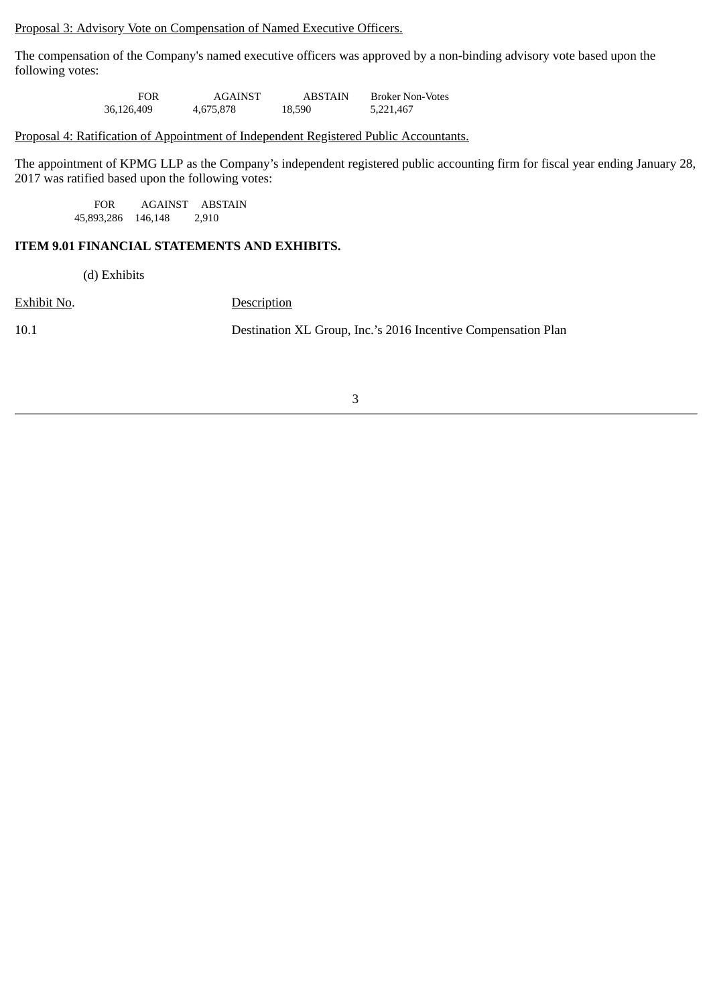Proposal 3: Advisory Vote on Compensation of Named Executive Officers.

The compensation of the Company's named executive officers was approved by a non-binding advisory vote based upon the following votes:

> FOR AGAINST ABSTAIN Broker Non-Votes 36,126,409 4,675,878 18,590 5,221,467

### Proposal 4: Ratification of Appointment of Independent Registered Public Accountants.

The appointment of KPMG LLP as the Company's independent registered public accounting firm for fiscal year ending January 28, 2017 was ratified based upon the following votes:

FOR AGAINST ABSTAIN<br>93,286 146,148 2,910 45,893,286 146,148

### **ITEM 9.01 FINANCIAL STATEMENTS AND EXHIBITS.**

(d) Exhibits

Exhibit No. Description

10.1 Destination XL Group, Inc.'s 2016 Incentive Compensation Plan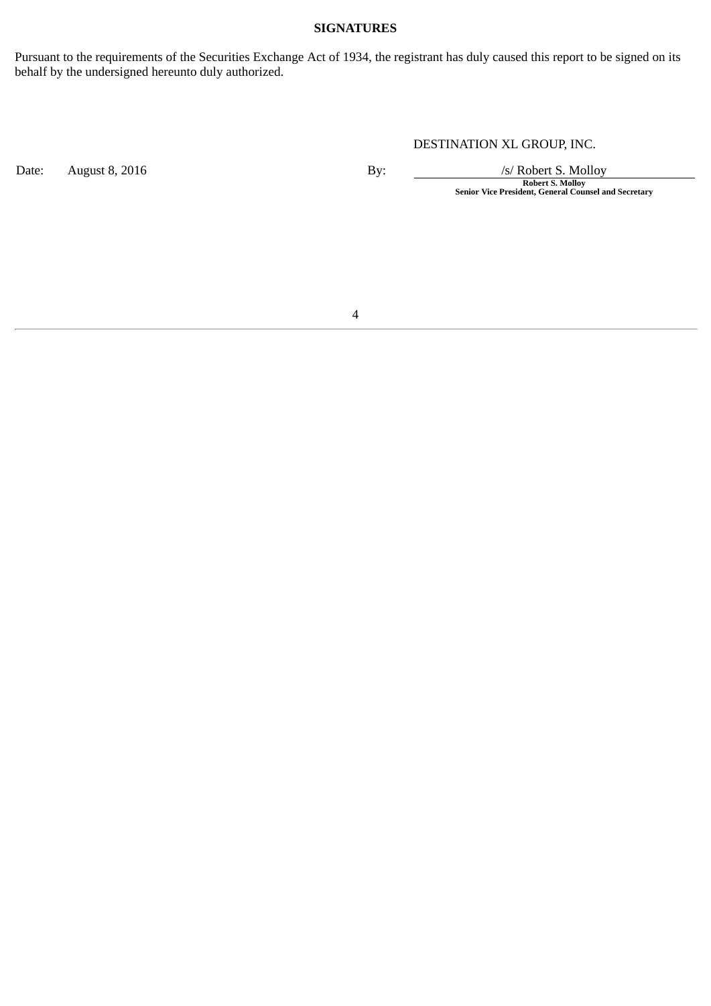### **SIGNATURES**

Pursuant to the requirements of the Securities Exchange Act of 1934, the registrant has duly caused this report to be signed on its behalf by the undersigned hereunto duly authorized.

Date: August 8, 2016 **By:** By: /s/ Robert S. Molloy

DESTINATION XL GROUP, INC.

**Robert S. Molloy Senior Vice President, General Counsel and Secretary**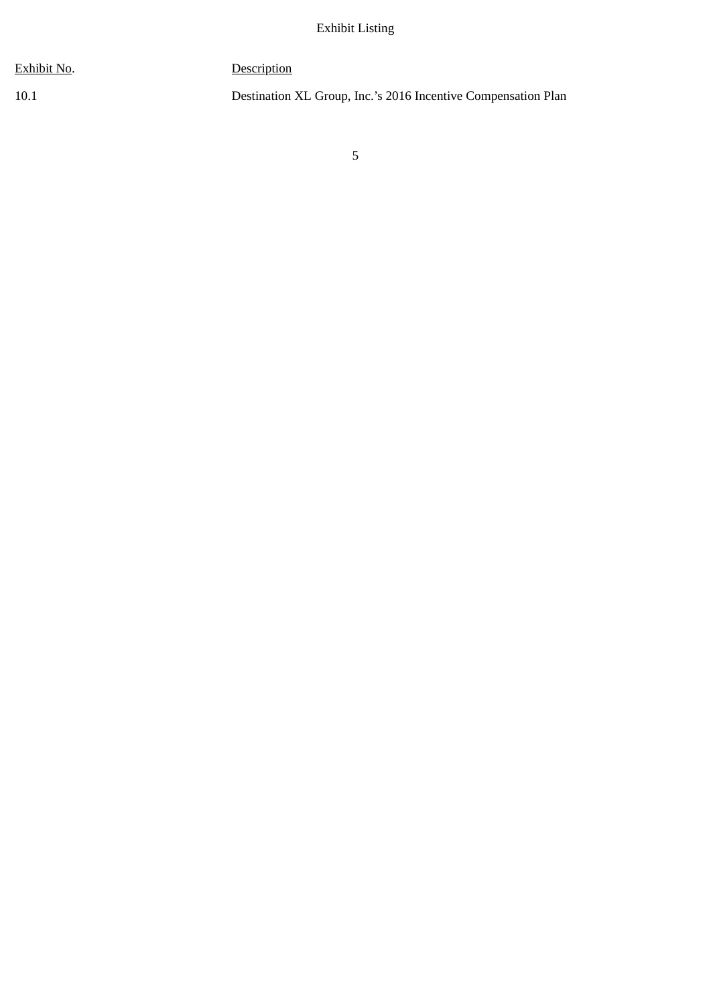| Exhibit No. | <b>Description</b>                                            |
|-------------|---------------------------------------------------------------|
| 10.1        | Destination XL Group, Inc.'s 2016 Incentive Compensation Plan |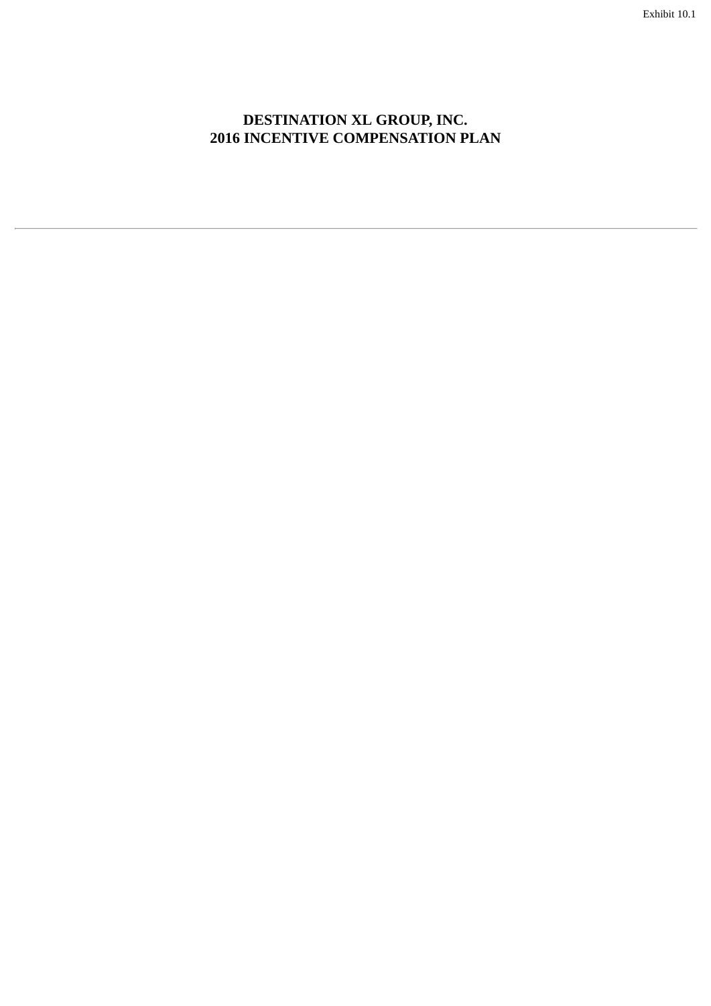# **DESTINATION XL GROUP, INC. 2016 INCENTIVE COMPENSATION PLAN**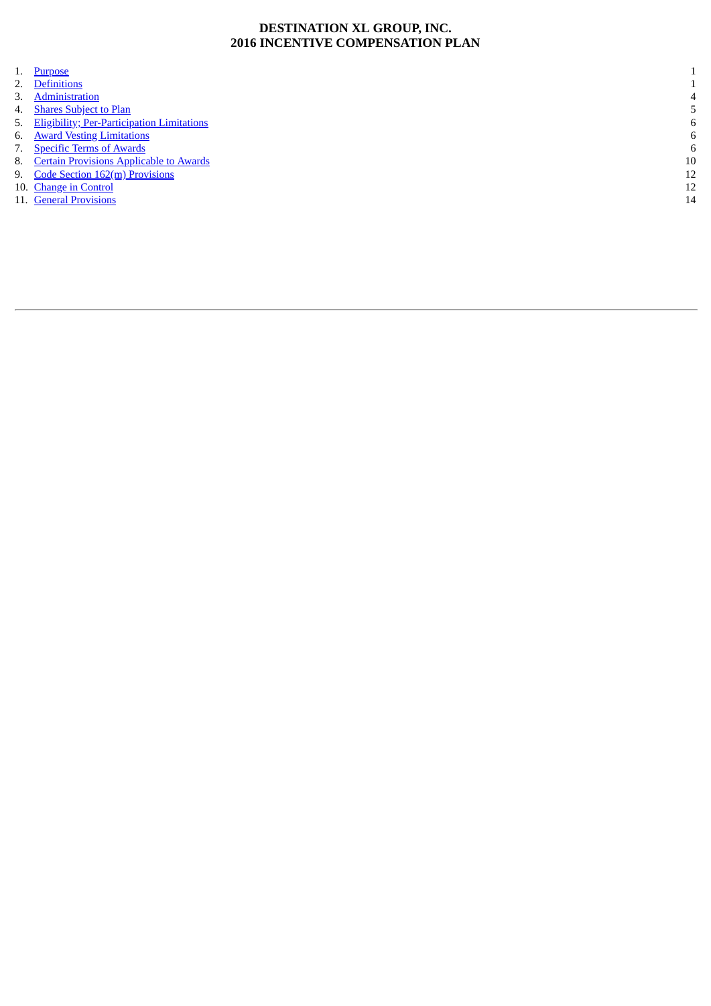### **DESTINATION XL GROUP, INC. 2016 INCENTIVE COMPENSATION PLAN**

|    | 1. Purpose                                    |    |
|----|-----------------------------------------------|----|
|    | 2. Definitions                                |    |
| 3. | Administration                                | 4  |
|    | 4. Shares Subject to Plan                     |    |
|    | 5. Eligibility; Per-Participation Limitations | 6  |
|    | 6. Award Vesting Limitations                  | 6  |
|    | 7. Specific Terms of Awards                   | 6  |
|    | 8. Certain Provisions Applicable to Awards    | 10 |
|    | 9. Code Section 162(m) Provisions             | 12 |
|    | 10. Change in Control                         | 12 |
|    | 11. General Provisions                        | 14 |
|    |                                               |    |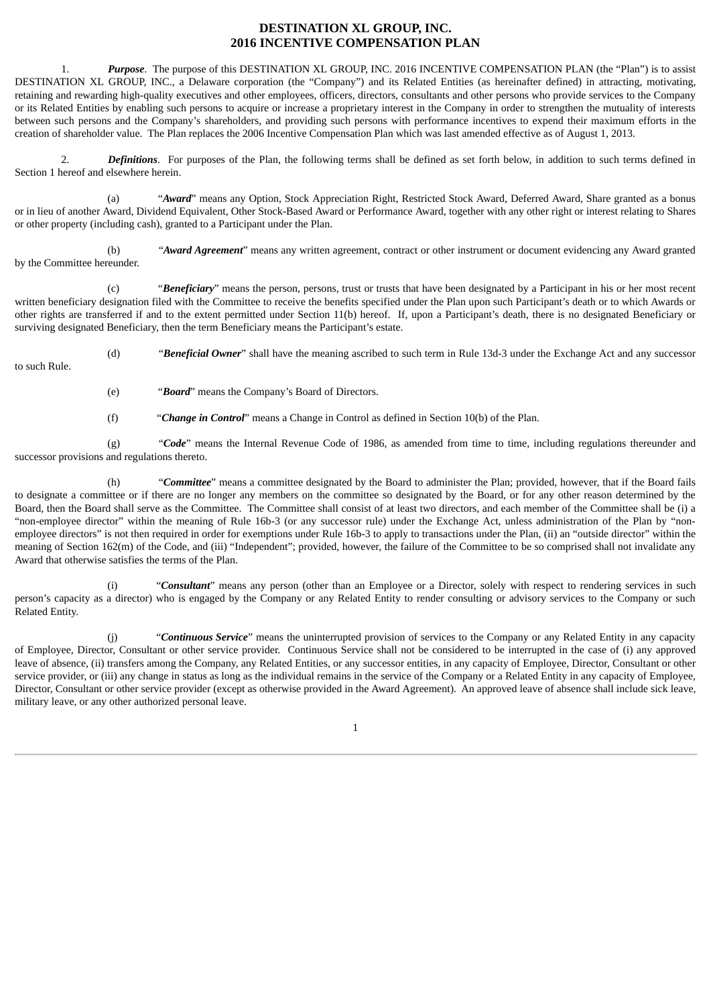### **DESTINATION XL GROUP, INC. 2016 INCENTIVE COMPENSATION PLAN**

<span id="page-7-0"></span>1. *Purpose*. The purpose of this DESTINATION XL GROUP, INC. 2016 INCENTIVE COMPENSATION PLAN (the "Plan") is to assist DESTINATION XL GROUP, INC., a Delaware corporation (the "Company") and its Related Entities (as hereinafter defined) in attracting, motivating, retaining and rewarding high-quality executives and other employees, officers, directors, consultants and other persons who provide services to the Company or its Related Entities by enabling such persons to acquire or increase a proprietary interest in the Company in order to strengthen the mutuality of interests between such persons and the Company's shareholders, and providing such persons with performance incentives to expend their maximum efforts in the creation of shareholder value. The Plan replaces the 2006 Incentive Compensation Plan which was last amended effective as of August 1, 2013.

<span id="page-7-1"></span>2. *Definitions*. For purposes of the Plan, the following terms shall be defined as set forth below, in addition to such terms defined in Section 1 hereof and elsewhere herein.

(a) "*Award*" means any Option, Stock Appreciation Right, Restricted Stock Award, Deferred Award, Share granted as a bonus or in lieu of another Award, Dividend Equivalent, Other Stock-Based Award or Performance Award, together with any other right or interest relating to Shares or other property (including cash), granted to a Participant under the Plan.

(b) "*Award Agreement*" means any written agreement, contract or other instrument or document evidencing any Award granted by the Committee hereunder.

(c) "*Beneficiary*" means the person, persons, trust or trusts that have been designated by a Participant in his or her most recent written beneficiary designation filed with the Committee to receive the benefits specified under the Plan upon such Participant's death or to which Awards or other rights are transferred if and to the extent permitted under Section 11(b) hereof. If, upon a Participant's death, there is no designated Beneficiary or surviving designated Beneficiary, then the term Beneficiary means the Participant's estate.

(d) "*Beneficial Owner*" shall have the meaning ascribed to such term in Rule 13d‑3 under the Exchange Act and any successor to such Rule.

- (e) "*Board*" means the Company's Board of Directors.
- (f) "*Change in Control*" means a Change in Control as defined in Section 10(b) of the Plan.

(g) "*Code*" means the Internal Revenue Code of 1986, as amended from time to time, including regulations thereunder and successor provisions and regulations thereto.

(h) "*Committee*" means a committee designated by the Board to administer the Plan; provided, however, that if the Board fails to designate a committee or if there are no longer any members on the committee so designated by the Board, or for any other reason determined by the Board, then the Board shall serve as the Committee. The Committee shall consist of at least two directors, and each member of the Committee shall be (i) a "non-employee director" within the meaning of Rule 16b-3 (or any successor rule) under the Exchange Act, unless administration of the Plan by "nonemployee directors" is not then required in order for exemptions under Rule 16b-3 to apply to transactions under the Plan, (ii) an "outside director" within the meaning of Section 162(m) of the Code, and (iii) "Independent"; provided, however, the failure of the Committee to be so comprised shall not invalidate any Award that otherwise satisfies the terms of the Plan.

(i) "*Consultant*" means any person (other than an Employee or a Director, solely with respect to rendering services in such person's capacity as a director) who is engaged by the Company or any Related Entity to render consulting or advisory services to the Company or such Related Entity.

(j) "*Continuous Service*" means the uninterrupted provision of services to the Company or any Related Entity in any capacity of Employee, Director, Consultant or other service provider. Continuous Service shall not be considered to be interrupted in the case of (i) any approved leave of absence, (ii) transfers among the Company, any Related Entities, or any successor entities, in any capacity of Employee, Director, Consultant or other service provider, or (iii) any change in status as long as the individual remains in the service of the Company or a Related Entity in any capacity of Employee, Director, Consultant or other service provider (except as otherwise provided in the Award Agreement). An approved leave of absence shall include sick leave, military leave, or any other authorized personal leave.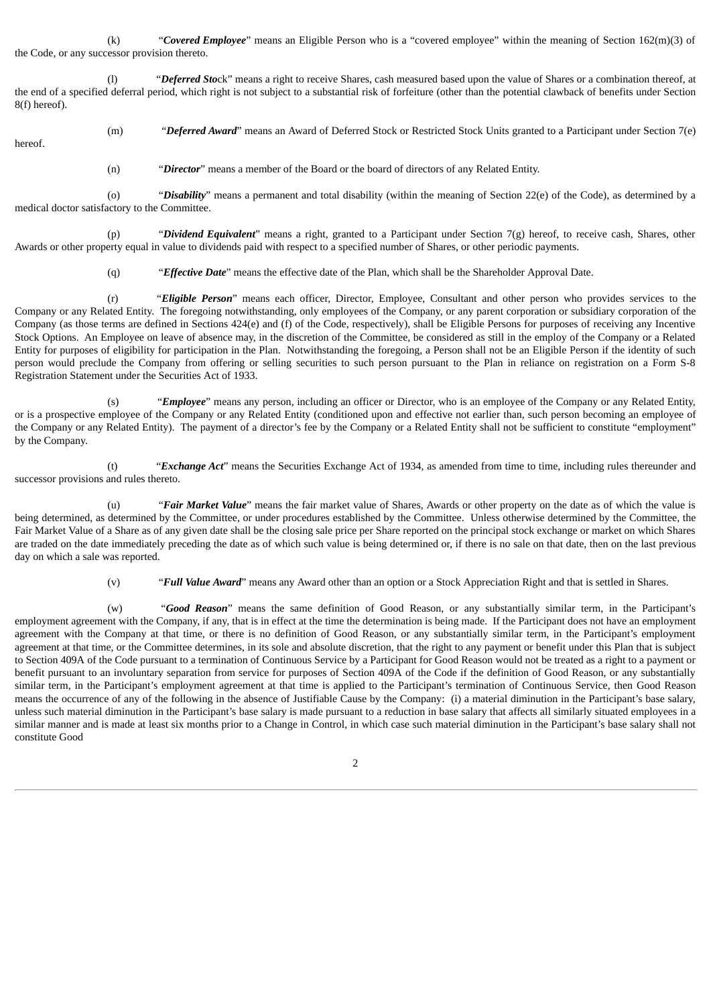(k) "*Covered Employee*" means an Eligible Person who is a "covered employee" within the meaning of Section 162(m)(3) of the Code, or any successor provision thereto.

(l) "*Deferred Sto*ck" means a right to receive Shares, cash measured based upon the value of Shares or a combination thereof, at the end of a specified deferral period, which right is not subject to a substantial risk of forfeiture (other than the potential clawback of benefits under Section 8(f) hereof).

(m) "*Deferred Award*" means an Award of Deferred Stock or Restricted Stock Units granted to a Participant under Section 7(e) hereof.

(n) "*Director*" means a member of the Board or the board of directors of any Related Entity.

(o) "*Disability*" means a permanent and total disability (within the meaning of Section 22(e) of the Code), as determined by a medical doctor satisfactory to the Committee.

(p) "*Dividend Equivalent*" means a right, granted to a Participant under Section 7(g) hereof, to receive cash, Shares, other Awards or other property equal in value to dividends paid with respect to a specified number of Shares, or other periodic payments.

(q) "*Effective Date*" means the effective date of the Plan, which shall be the Shareholder Approval Date.

(r) "*Eligible Person*" means each officer, Director, Employee, Consultant and other person who provides services to the Company or any Related Entity. The foregoing notwithstanding, only employees of the Company, or any parent corporation or subsidiary corporation of the Company (as those terms are defined in Sections 424(e) and (f) of the Code, respectively), shall be Eligible Persons for purposes of receiving any Incentive Stock Options. An Employee on leave of absence may, in the discretion of the Committee, be considered as still in the employ of the Company or a Related Entity for purposes of eligibility for participation in the Plan. Notwithstanding the foregoing, a Person shall not be an Eligible Person if the identity of such person would preclude the Company from offering or selling securities to such person pursuant to the Plan in reliance on registration on a Form S-8 Registration Statement under the Securities Act of 1933.

(s) "*Employee*" means any person, including an officer or Director, who is an employee of the Company or any Related Entity, or is a prospective employee of the Company or any Related Entity (conditioned upon and effective not earlier than, such person becoming an employee of the Company or any Related Entity). The payment of a director's fee by the Company or a Related Entity shall not be sufficient to constitute "employment" by the Company.

(t) "*Exchange Act*" means the Securities Exchange Act of 1934, as amended from time to time, including rules thereunder and successor provisions and rules thereto.

(u) "*Fair Market Value*" means the fair market value of Shares, Awards or other property on the date as of which the value is being determined, as determined by the Committee, or under procedures established by the Committee. Unless otherwise determined by the Committee, the Fair Market Value of a Share as of any given date shall be the closing sale price per Share reported on the principal stock exchange or market on which Shares are traded on the date immediately preceding the date as of which such value is being determined or, if there is no sale on that date, then on the last previous day on which a sale was reported.

(v) "*Full Value Award*" means any Award other than an option or a Stock Appreciation Right and that is settled in Shares.

(w) "*Good Reason*" means the same definition of Good Reason, or any substantially similar term, in the Participant's employment agreement with the Company, if any, that is in effect at the time the determination is being made. If the Participant does not have an employment agreement with the Company at that time, or there is no definition of Good Reason, or any substantially similar term, in the Participant's employment agreement at that time, or the Committee determines, in its sole and absolute discretion, that the right to any payment or benefit under this Plan that is subject to Section 409A of the Code pursuant to a termination of Continuous Service by a Participant for Good Reason would not be treated as a right to a payment or benefit pursuant to an involuntary separation from service for purposes of Section 409A of the Code if the definition of Good Reason, or any substantially similar term, in the Participant's employment agreement at that time is applied to the Participant's termination of Continuous Service, then Good Reason means the occurrence of any of the following in the absence of Justifiable Cause by the Company: (i) a material diminution in the Participant's base salary, unless such material diminution in the Participant's base salary is made pursuant to a reduction in base salary that affects all similarly situated employees in a similar manner and is made at least six months prior to a Change in Control, in which case such material diminution in the Participant's base salary shall not constitute Good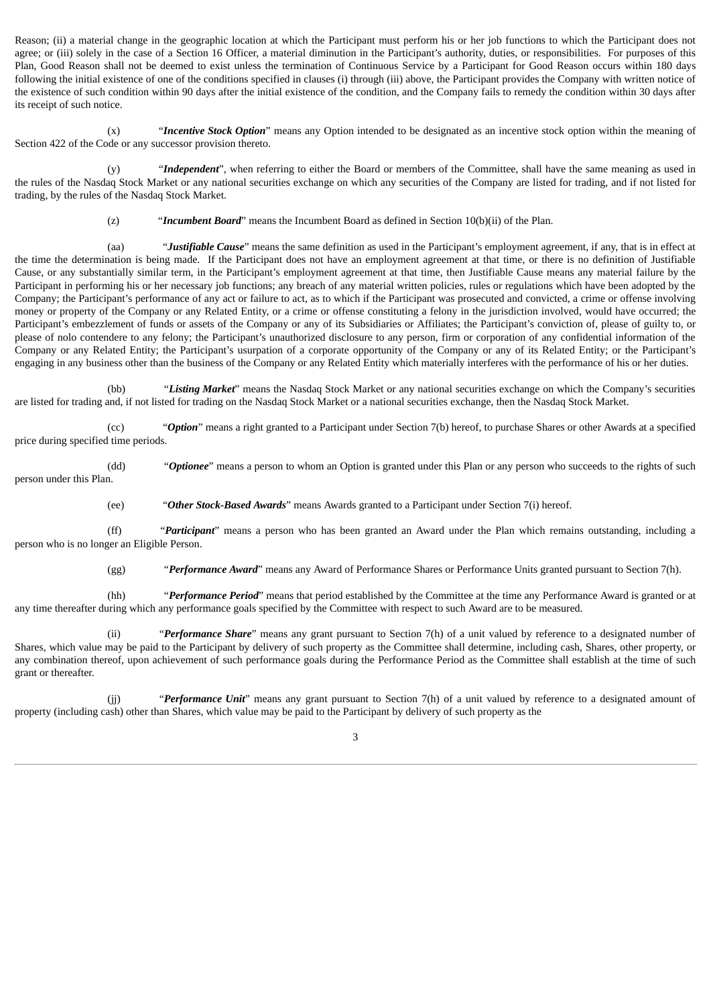Reason; (ii) a material change in the geographic location at which the Participant must perform his or her job functions to which the Participant does not agree; or (iii) solely in the case of a Section 16 Officer, a material diminution in the Participant's authority, duties, or responsibilities. For purposes of this Plan, Good Reason shall not be deemed to exist unless the termination of Continuous Service by a Participant for Good Reason occurs within 180 days following the initial existence of one of the conditions specified in clauses (i) through (iii) above, the Participant provides the Company with written notice of the existence of such condition within 90 days after the initial existence of the condition, and the Company fails to remedy the condition within 30 days after its receipt of such notice.

(x) "*Incentive Stock Option*" means any Option intended to be designated as an incentive stock option within the meaning of Section 422 of the Code or any successor provision thereto.

(y) "*Independent*", when referring to either the Board or members of the Committee, shall have the same meaning as used in the rules of the Nasdaq Stock Market or any national securities exchange on which any securities of the Company are listed for trading, and if not listed for trading, by the rules of the Nasdaq Stock Market.

(z) "*Incumbent Board*" means the Incumbent Board as defined in Section 10(b)(ii) of the Plan.

(aa) "*Justifiable Cause*" means the same definition as used in the Participant's employment agreement, if any, that is in effect at the time the determination is being made. If the Participant does not have an employment agreement at that time, or there is no definition of Justifiable Cause, or any substantially similar term, in the Participant's employment agreement at that time, then Justifiable Cause means any material failure by the Participant in performing his or her necessary job functions; any breach of any material written policies, rules or regulations which have been adopted by the Company; the Participant's performance of any act or failure to act, as to which if the Participant was prosecuted and convicted, a crime or offense involving money or property of the Company or any Related Entity, or a crime or offense constituting a felony in the jurisdiction involved, would have occurred; the Participant's embezzlement of funds or assets of the Company or any of its Subsidiaries or Affiliates; the Participant's conviction of, please of guilty to, or please of nolo contendere to any felony; the Participant's unauthorized disclosure to any person, firm or corporation of any confidential information of the Company or any Related Entity; the Participant's usurpation of a corporate opportunity of the Company or any of its Related Entity; or the Participant's engaging in any business other than the business of the Company or any Related Entity which materially interferes with the performance of his or her duties.

(bb) "*Listing Market*" means the Nasdaq Stock Market or any national securities exchange on which the Company's securities are listed for trading and, if not listed for trading on the Nasdaq Stock Market or a national securities exchange, then the Nasdaq Stock Market.

(cc) "*Option*" means a right granted to a Participant under Section 7(b) hereof, to purchase Shares or other Awards at a specified price during specified time periods.

(dd) "*Optionee*" means a person to whom an Option is granted under this Plan or any person who succeeds to the rights of such person under this Plan.

(ee) "*Other Stock-Based Awards*" means Awards granted to a Participant under Section 7(i) hereof.

(ff) "*Participant*" means a person who has been granted an Award under the Plan which remains outstanding, including a person who is no longer an Eligible Person.

(gg) "*Performance Award*" means any Award of Performance Shares or Performance Units granted pursuant to Section 7(h).

(hh) "*Performance Period*" means that period established by the Committee at the time any Performance Award is granted or at any time thereafter during which any performance goals specified by the Committee with respect to such Award are to be measured.

(ii) "*Performance Share*" means any grant pursuant to Section 7(h) of a unit valued by reference to a designated number of Shares, which value may be paid to the Participant by delivery of such property as the Committee shall determine, including cash, Shares, other property, or any combination thereof, upon achievement of such performance goals during the Performance Period as the Committee shall establish at the time of such grant or thereafter.

(jj) "*Performance Unit*" means any grant pursuant to Section 7(h) of a unit valued by reference to a designated amount of property (including cash) other than Shares, which value may be paid to the Participant by delivery of such property as the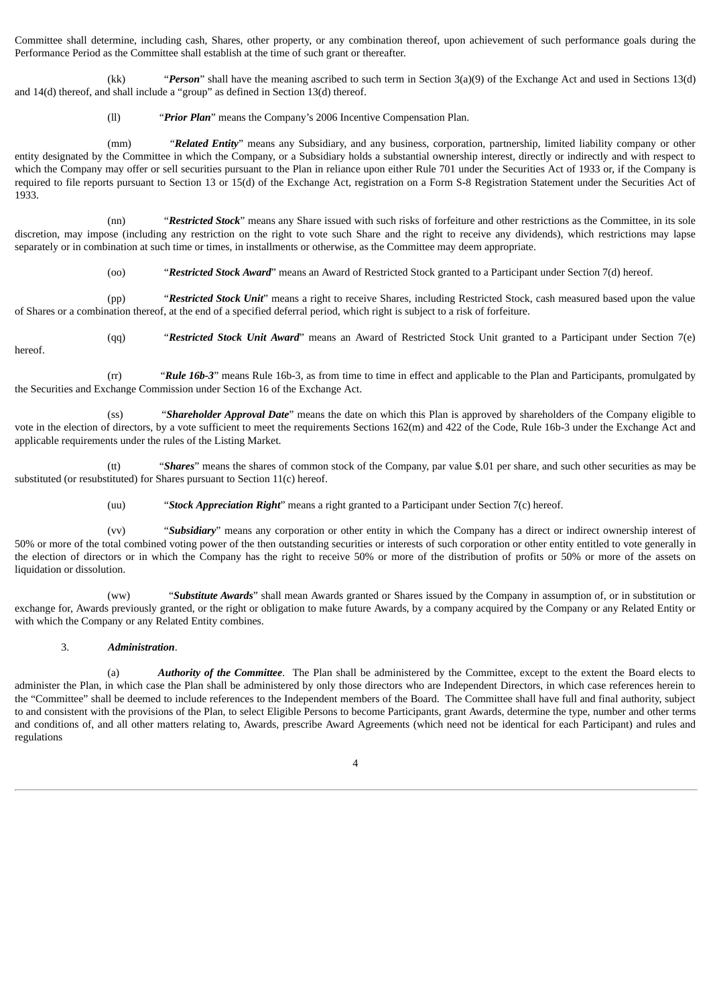Committee shall determine, including cash, Shares, other property, or any combination thereof, upon achievement of such performance goals during the Performance Period as the Committee shall establish at the time of such grant or thereafter.

(kk) "*Person*" shall have the meaning ascribed to such term in Section 3(a)(9) of the Exchange Act and used in Sections 13(d) and 14(d) thereof, and shall include a "group" as defined in Section 13(d) thereof.

(ll) "*Prior Plan*" means the Company's 2006 Incentive Compensation Plan.

(mm) "*Related Entity*" means any Subsidiary, and any business, corporation, partnership, limited liability company or other entity designated by the Committee in which the Company, or a Subsidiary holds a substantial ownership interest, directly or indirectly and with respect to which the Company may offer or sell securities pursuant to the Plan in reliance upon either Rule 701 under the Securities Act of 1933 or, if the Company is required to file reports pursuant to Section 13 or 15(d) of the Exchange Act, registration on a Form S-8 Registration Statement under the Securities Act of 1933.

(nn) "*Restricted Stock*" means any Share issued with such risks of forfeiture and other restrictions as the Committee, in its sole discretion, may impose (including any restriction on the right to vote such Share and the right to receive any dividends), which restrictions may lapse separately or in combination at such time or times, in installments or otherwise, as the Committee may deem appropriate.

(oo) "*Restricted Stock Award*" means an Award of Restricted Stock granted to a Participant under Section 7(d) hereof.

(pp) "*Restricted Stock Unit*" means a right to receive Shares, including Restricted Stock, cash measured based upon the value of Shares or a combination thereof, at the end of a specified deferral period, which right is subject to a risk of forfeiture.

(qq) "*Restricted Stock Unit Award*" means an Award of Restricted Stock Unit granted to a Participant under Section 7(e) hereof.

(rr) "*Rule 16b-3*" means Rule 16b-3, as from time to time in effect and applicable to the Plan and Participants, promulgated by the Securities and Exchange Commission under Section 16 of the Exchange Act.

(ss) "*Shareholder Approval Date*" means the date on which this Plan is approved by shareholders of the Company eligible to vote in the election of directors, by a vote sufficient to meet the requirements Sections 162(m) and 422 of the Code, Rule 16b-3 under the Exchange Act and applicable requirements under the rules of the Listing Market.

(tt) "*Shares*" means the shares of common stock of the Company, par value \$.01 per share, and such other securities as may be substituted (or resubstituted) for Shares pursuant to Section 11(c) hereof.

(uu) "*Stock Appreciation Right*" means a right granted to a Participant under Section 7(c) hereof.

(vv) "*Subsidiary*" means any corporation or other entity in which the Company has a direct or indirect ownership interest of 50% or more of the total combined voting power of the then outstanding securities or interests of such corporation or other entity entitled to vote generally in the election of directors or in which the Company has the right to receive 50% or more of the distribution of profits or 50% or more of the assets on liquidation or dissolution.

(ww) "*Substitute Awards*" shall mean Awards granted or Shares issued by the Company in assumption of, or in substitution or exchange for, Awards previously granted, or the right or obligation to make future Awards, by a company acquired by the Company or any Related Entity or with which the Company or any Related Entity combines.

#### 3. *Administration*.

<span id="page-10-0"></span>(a) *Authority of the Committee*. The Plan shall be administered by the Committee, except to the extent the Board elects to administer the Plan, in which case the Plan shall be administered by only those directors who are Independent Directors, in which case references herein to the "Committee" shall be deemed to include references to the Independent members of the Board. The Committee shall have full and final authority, subject to and consistent with the provisions of the Plan, to select Eligible Persons to become Participants, grant Awards, determine the type, number and other terms and conditions of, and all other matters relating to, Awards, prescribe Award Agreements (which need not be identical for each Participant) and rules and regulations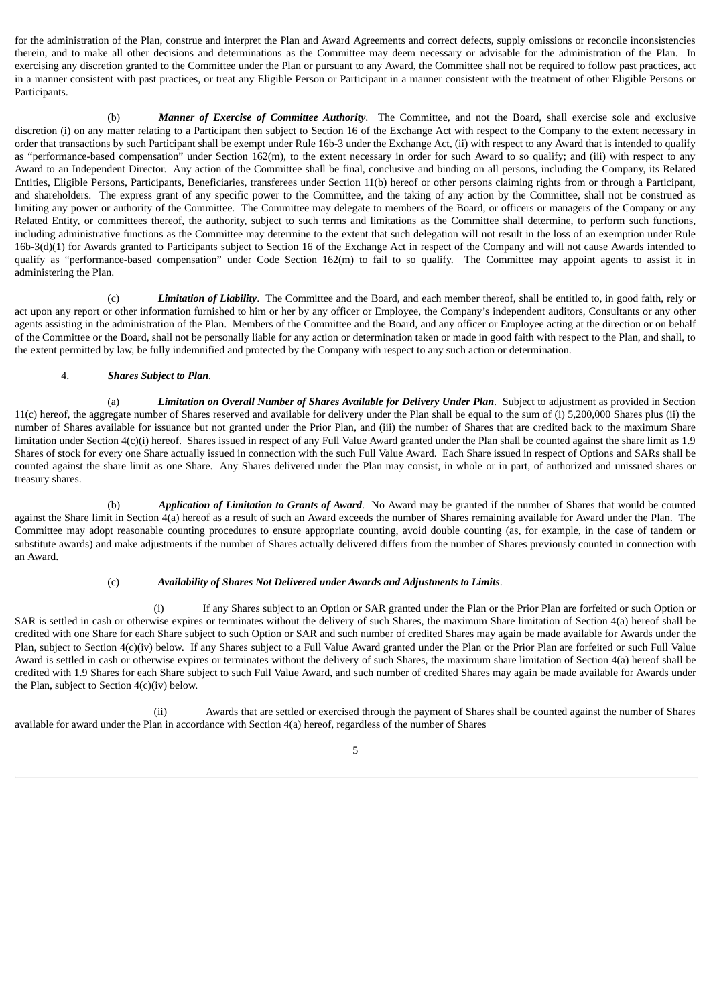for the administration of the Plan, construe and interpret the Plan and Award Agreements and correct defects, supply omissions or reconcile inconsistencies therein, and to make all other decisions and determinations as the Committee may deem necessary or advisable for the administration of the Plan. In exercising any discretion granted to the Committee under the Plan or pursuant to any Award, the Committee shall not be required to follow past practices, act in a manner consistent with past practices, or treat any Eligible Person or Participant in a manner consistent with the treatment of other Eligible Persons or Participants.

(b) *Manner of Exercise of Committee Authority*. The Committee, and not the Board, shall exercise sole and exclusive discretion (i) on any matter relating to a Participant then subject to Section 16 of the Exchange Act with respect to the Company to the extent necessary in order that transactions by such Participant shall be exempt under Rule 16b-3 under the Exchange Act, (ii) with respect to any Award that is intended to qualify as "performance-based compensation" under Section 162(m), to the extent necessary in order for such Award to so qualify; and (iii) with respect to any Award to an Independent Director. Any action of the Committee shall be final, conclusive and binding on all persons, including the Company, its Related Entities, Eligible Persons, Participants, Beneficiaries, transferees under Section 11(b) hereof or other persons claiming rights from or through a Participant, and shareholders. The express grant of any specific power to the Committee, and the taking of any action by the Committee, shall not be construed as limiting any power or authority of the Committee. The Committee may delegate to members of the Board, or officers or managers of the Company or any Related Entity, or committees thereof, the authority, subject to such terms and limitations as the Committee shall determine, to perform such functions, including administrative functions as the Committee may determine to the extent that such delegation will not result in the loss of an exemption under Rule 16b-3(d)(1) for Awards granted to Participants subject to Section 16 of the Exchange Act in respect of the Company and will not cause Awards intended to qualify as "performance-based compensation" under Code Section 162(m) to fail to so qualify. The Committee may appoint agents to assist it in administering the Plan.

(c) *Limitation of Liability*. The Committee and the Board, and each member thereof, shall be entitled to, in good faith, rely or act upon any report or other information furnished to him or her by any officer or Employee, the Company's independent auditors, Consultants or any other agents assisting in the administration of the Plan. Members of the Committee and the Board, and any officer or Employee acting at the direction or on behalf of the Committee or the Board, shall not be personally liable for any action or determination taken or made in good faith with respect to the Plan, and shall, to the extent permitted by law, be fully indemnified and protected by the Company with respect to any such action or determination.

#### 4. *Shares Subject to Plan*.

<span id="page-11-0"></span>(a) *Limitation on Overall Number of Shares Available for Delivery Under Plan*. Subject to adjustment as provided in Section 11(c) hereof, the aggregate number of Shares reserved and available for delivery under the Plan shall be equal to the sum of (i) 5,200,000 Shares plus (ii) the number of Shares available for issuance but not granted under the Prior Plan, and (iii) the number of Shares that are credited back to the maximum Share limitation under Section 4(c)(i) hereof. Shares issued in respect of any Full Value Award granted under the Plan shall be counted against the share limit as 1.9 Shares of stock for every one Share actually issued in connection with the such Full Value Award. Each Share issued in respect of Options and SARs shall be counted against the share limit as one Share. Any Shares delivered under the Plan may consist, in whole or in part, of authorized and unissued shares or treasury shares.

(b) *Application of Limitation to Grants of Award*. No Award may be granted if the number of Shares that would be counted against the Share limit in Section 4(a) hereof as a result of such an Award exceeds the number of Shares remaining available for Award under the Plan. The Committee may adopt reasonable counting procedures to ensure appropriate counting, avoid double counting (as, for example, in the case of tandem or substitute awards) and make adjustments if the number of Shares actually delivered differs from the number of Shares previously counted in connection with an Award.

#### (c) *Availability of Shares Not Delivered under Awards and Adjustments to Limits*.

(i) If any Shares subject to an Option or SAR granted under the Plan or the Prior Plan are forfeited or such Option or SAR is settled in cash or otherwise expires or terminates without the delivery of such Shares, the maximum Share limitation of Section 4(a) hereof shall be credited with one Share for each Share subject to such Option or SAR and such number of credited Shares may again be made available for Awards under the Plan, subject to Section 4(c)(iv) below. If any Shares subject to a Full Value Award granted under the Plan or the Prior Plan are forfeited or such Full Value Award is settled in cash or otherwise expires or terminates without the delivery of such Shares, the maximum share limitation of Section 4(a) hereof shall be credited with 1.9 Shares for each Share subject to such Full Value Award, and such number of credited Shares may again be made available for Awards under the Plan, subject to Section 4(c)(iv) below.

(ii) Awards that are settled or exercised through the payment of Shares shall be counted against the number of Shares available for award under the Plan in accordance with Section 4(a) hereof, regardless of the number of Shares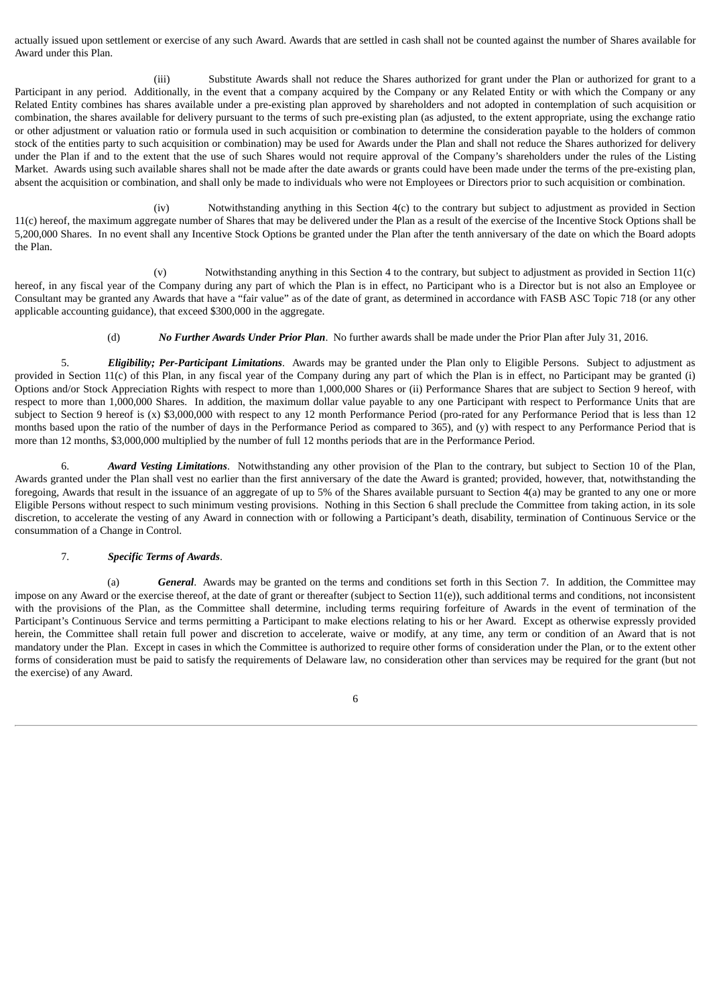actually issued upon settlement or exercise of any such Award. Awards that are settled in cash shall not be counted against the number of Shares available for Award under this Plan.

(iii) Substitute Awards shall not reduce the Shares authorized for grant under the Plan or authorized for grant to a Participant in any period. Additionally, in the event that a company acquired by the Company or any Related Entity or with which the Company or any Related Entity combines has shares available under a pre-existing plan approved by shareholders and not adopted in contemplation of such acquisition or combination, the shares available for delivery pursuant to the terms of such pre-existing plan (as adjusted, to the extent appropriate, using the exchange ratio or other adjustment or valuation ratio or formula used in such acquisition or combination to determine the consideration payable to the holders of common stock of the entities party to such acquisition or combination) may be used for Awards under the Plan and shall not reduce the Shares authorized for delivery under the Plan if and to the extent that the use of such Shares would not require approval of the Company's shareholders under the rules of the Listing Market. Awards using such available shares shall not be made after the date awards or grants could have been made under the terms of the pre-existing plan, absent the acquisition or combination, and shall only be made to individuals who were not Employees or Directors prior to such acquisition or combination.

(iv) Notwithstanding anything in this Section 4(c) to the contrary but subject to adjustment as provided in Section 11(c) hereof, the maximum aggregate number of Shares that may be delivered under the Plan as a result of the exercise of the Incentive Stock Options shall be 5,200,000 Shares. In no event shall any Incentive Stock Options be granted under the Plan after the tenth anniversary of the date on which the Board adopts the Plan.

(v) Notwithstanding anything in this Section 4 to the contrary, but subject to adjustment as provided in Section 11(c) hereof, in any fiscal year of the Company during any part of which the Plan is in effect, no Participant who is a Director but is not also an Employee or Consultant may be granted any Awards that have a "fair value" as of the date of grant, as determined in accordance with FASB ASC Topic 718 (or any other applicable accounting guidance), that exceed \$300,000 in the aggregate.

(d) *No Further Awards Under Prior Plan*. No further awards shall be made under the Prior Plan after July 31, 2016.

<span id="page-12-0"></span>5. *Eligibility; Per-Participant Limitations*. Awards may be granted under the Plan only to Eligible Persons. Subject to adjustment as provided in Section 11(c) of this Plan, in any fiscal year of the Company during any part of which the Plan is in effect, no Participant may be granted (i) Options and/or Stock Appreciation Rights with respect to more than 1,000,000 Shares or (ii) Performance Shares that are subject to Section 9 hereof, with respect to more than 1,000,000 Shares. In addition, the maximum dollar value payable to any one Participant with respect to Performance Units that are subject to Section 9 hereof is (x) \$3,000,000 with respect to any 12 month Performance Period (pro-rated for any Performance Period that is less than 12 months based upon the ratio of the number of days in the Performance Period as compared to 365), and (y) with respect to any Performance Period that is more than 12 months, \$3,000,000 multiplied by the number of full 12 months periods that are in the Performance Period.

<span id="page-12-1"></span>6. *Award Vesting Limitations*. Notwithstanding any other provision of the Plan to the contrary, but subject to Section 10 of the Plan, Awards granted under the Plan shall vest no earlier than the first anniversary of the date the Award is granted; provided, however, that, notwithstanding the foregoing, Awards that result in the issuance of an aggregate of up to 5% of the Shares available pursuant to Section 4(a) may be granted to any one or more Eligible Persons without respect to such minimum vesting provisions. Nothing in this Section 6 shall preclude the Committee from taking action, in its sole discretion, to accelerate the vesting of any Award in connection with or following a Participant's death, disability, termination of Continuous Service or the consummation of a Change in Control.

#### 7. *Specific Terms of Awards*.

<span id="page-12-2"></span>(a) *General*. Awards may be granted on the terms and conditions set forth in this Section 7. In addition, the Committee may impose on any Award or the exercise thereof, at the date of grant or thereafter (subject to Section 11(e)), such additional terms and conditions, not inconsistent with the provisions of the Plan, as the Committee shall determine, including terms requiring forfeiture of Awards in the event of termination of the Participant's Continuous Service and terms permitting a Participant to make elections relating to his or her Award. Except as otherwise expressly provided herein, the Committee shall retain full power and discretion to accelerate, waive or modify, at any time, any term or condition of an Award that is not mandatory under the Plan. Except in cases in which the Committee is authorized to require other forms of consideration under the Plan, or to the extent other forms of consideration must be paid to satisfy the requirements of Delaware law, no consideration other than services may be required for the grant (but not the exercise) of any Award.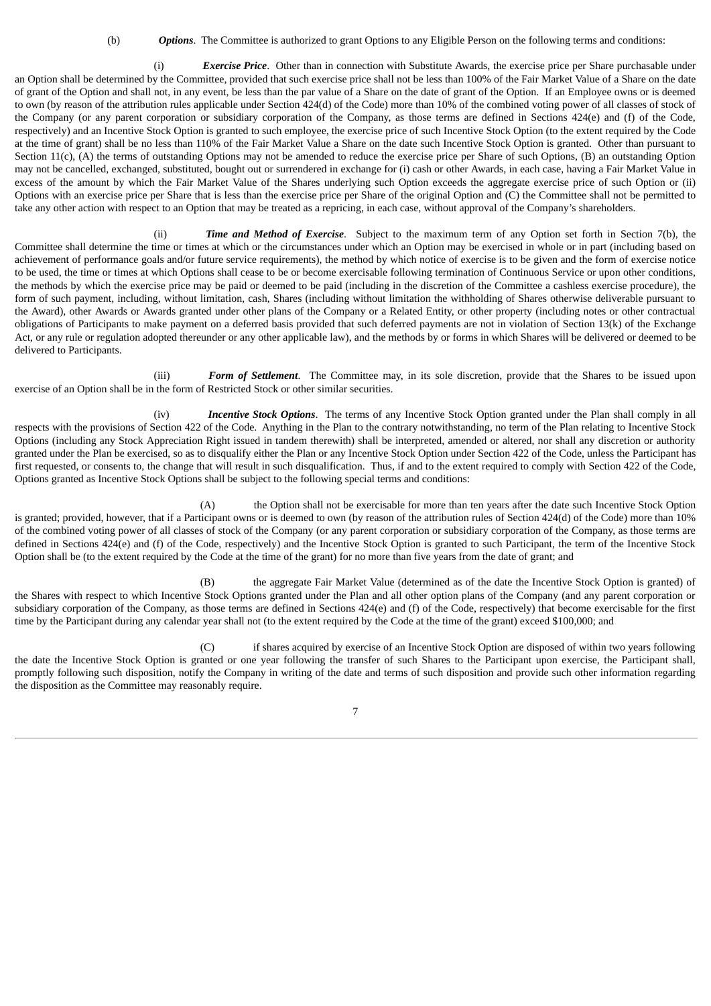(b) *Options*. The Committee is authorized to grant Options to any Eligible Person on the following terms and conditions:

(i) *Exercise Price*. Other than in connection with Substitute Awards, the exercise price per Share purchasable under an Option shall be determined by the Committee, provided that such exercise price shall not be less than 100% of the Fair Market Value of a Share on the date of grant of the Option and shall not, in any event, be less than the par value of a Share on the date of grant of the Option. If an Employee owns or is deemed to own (by reason of the attribution rules applicable under Section 424(d) of the Code) more than 10% of the combined voting power of all classes of stock of the Company (or any parent corporation or subsidiary corporation of the Company, as those terms are defined in Sections 424(e) and (f) of the Code, respectively) and an Incentive Stock Option is granted to such employee, the exercise price of such Incentive Stock Option (to the extent required by the Code at the time of grant) shall be no less than 110% of the Fair Market Value a Share on the date such Incentive Stock Option is granted. Other than pursuant to Section 11(c), (A) the terms of outstanding Options may not be amended to reduce the exercise price per Share of such Options, (B) an outstanding Option may not be cancelled, exchanged, substituted, bought out or surrendered in exchange for (i) cash or other Awards, in each case, having a Fair Market Value in excess of the amount by which the Fair Market Value of the Shares underlying such Option exceeds the aggregate exercise price of such Option or (ii) Options with an exercise price per Share that is less than the exercise price per Share of the original Option and (C) the Committee shall not be permitted to take any other action with respect to an Option that may be treated as a repricing, in each case, without approval of the Company's shareholders.

(ii) *Time and Method of Exercise*. Subject to the maximum term of any Option set forth in Section 7(b), the Committee shall determine the time or times at which or the circumstances under which an Option may be exercised in whole or in part (including based on achievement of performance goals and/or future service requirements), the method by which notice of exercise is to be given and the form of exercise notice to be used, the time or times at which Options shall cease to be or become exercisable following termination of Continuous Service or upon other conditions, the methods by which the exercise price may be paid or deemed to be paid (including in the discretion of the Committee a cashless exercise procedure), the form of such payment, including, without limitation, cash, Shares (including without limitation the withholding of Shares otherwise deliverable pursuant to the Award), other Awards or Awards granted under other plans of the Company or a Related Entity, or other property (including notes or other contractual obligations of Participants to make payment on a deferred basis provided that such deferred payments are not in violation of Section 13(k) of the Exchange Act, or any rule or regulation adopted thereunder or any other applicable law), and the methods by or forms in which Shares will be delivered or deemed to be delivered to Participants.

(iii) *Form of Settlement*. The Committee may, in its sole discretion, provide that the Shares to be issued upon exercise of an Option shall be in the form of Restricted Stock or other similar securities.

(iv) *Incentive Stock Options*. The terms of any Incentive Stock Option granted under the Plan shall comply in all respects with the provisions of Section 422 of the Code. Anything in the Plan to the contrary notwithstanding, no term of the Plan relating to Incentive Stock Options (including any Stock Appreciation Right issued in tandem therewith) shall be interpreted, amended or altered, nor shall any discretion or authority granted under the Plan be exercised, so as to disqualify either the Plan or any Incentive Stock Option under Section 422 of the Code, unless the Participant has first requested, or consents to, the change that will result in such disqualification. Thus, if and to the extent required to comply with Section 422 of the Code, Options granted as Incentive Stock Options shall be subject to the following special terms and conditions:

(A) the Option shall not be exercisable for more than ten years after the date such Incentive Stock Option is granted; provided, however, that if a Participant owns or is deemed to own (by reason of the attribution rules of Section 424(d) of the Code) more than 10% of the combined voting power of all classes of stock of the Company (or any parent corporation or subsidiary corporation of the Company, as those terms are defined in Sections 424(e) and (f) of the Code, respectively) and the Incentive Stock Option is granted to such Participant, the term of the Incentive Stock Option shall be (to the extent required by the Code at the time of the grant) for no more than five years from the date of grant; and

(B) the aggregate Fair Market Value (determined as of the date the Incentive Stock Option is granted) of the Shares with respect to which Incentive Stock Options granted under the Plan and all other option plans of the Company (and any parent corporation or subsidiary corporation of the Company, as those terms are defined in Sections 424(e) and (f) of the Code, respectively) that become exercisable for the first time by the Participant during any calendar year shall not (to the extent required by the Code at the time of the grant) exceed \$100,000; and

(C) if shares acquired by exercise of an Incentive Stock Option are disposed of within two years following the date the Incentive Stock Option is granted or one year following the transfer of such Shares to the Participant upon exercise, the Participant shall, promptly following such disposition, notify the Company in writing of the date and terms of such disposition and provide such other information regarding the disposition as the Committee may reasonably require.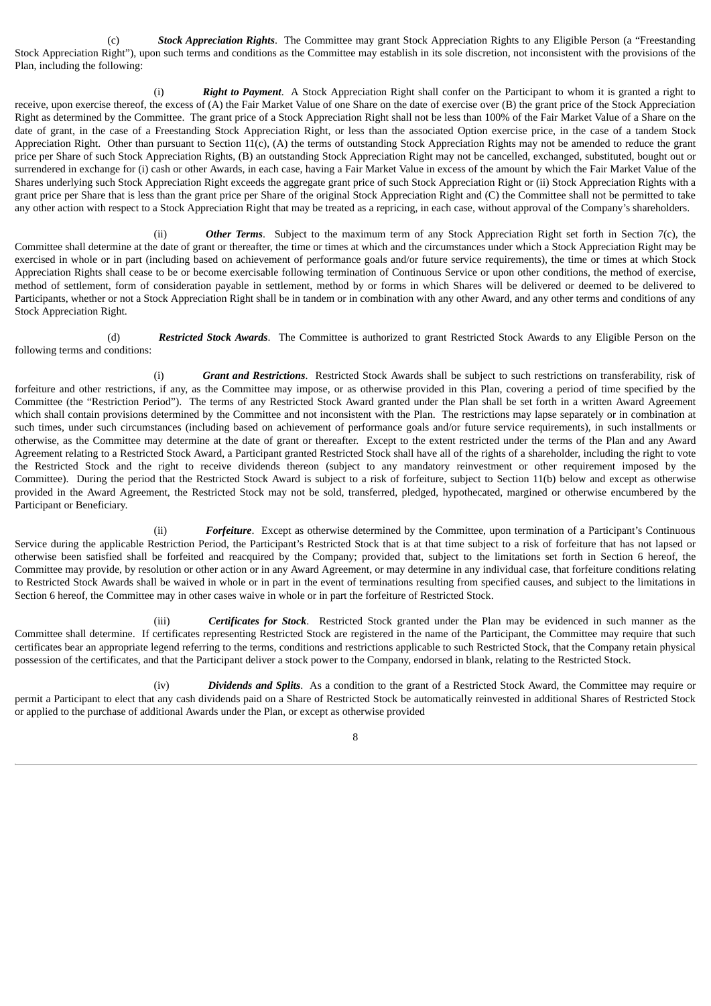(c) *Stock Appreciation Rights*. The Committee may grant Stock Appreciation Rights to any Eligible Person (a "Freestanding Stock Appreciation Right"), upon such terms and conditions as the Committee may establish in its sole discretion, not inconsistent with the provisions of the Plan, including the following:

(i) *Right to Payment*. A Stock Appreciation Right shall confer on the Participant to whom it is granted a right to receive, upon exercise thereof, the excess of (A) the Fair Market Value of one Share on the date of exercise over (B) the grant price of the Stock Appreciation Right as determined by the Committee. The grant price of a Stock Appreciation Right shall not be less than 100% of the Fair Market Value of a Share on the date of grant, in the case of a Freestanding Stock Appreciation Right, or less than the associated Option exercise price, in the case of a tandem Stock Appreciation Right. Other than pursuant to Section 11(c), (A) the terms of outstanding Stock Appreciation Rights may not be amended to reduce the grant price per Share of such Stock Appreciation Rights, (B) an outstanding Stock Appreciation Right may not be cancelled, exchanged, substituted, bought out or surrendered in exchange for (i) cash or other Awards, in each case, having a Fair Market Value in excess of the amount by which the Fair Market Value of the Shares underlying such Stock Appreciation Right exceeds the aggregate grant price of such Stock Appreciation Right or (ii) Stock Appreciation Rights with a grant price per Share that is less than the grant price per Share of the original Stock Appreciation Right and (C) the Committee shall not be permitted to take any other action with respect to a Stock Appreciation Right that may be treated as a repricing, in each case, without approval of the Company's shareholders.

(ii) *Other Terms*. Subject to the maximum term of any Stock Appreciation Right set forth in Section 7(c), the Committee shall determine at the date of grant or thereafter, the time or times at which and the circumstances under which a Stock Appreciation Right may be exercised in whole or in part (including based on achievement of performance goals and/or future service requirements), the time or times at which Stock Appreciation Rights shall cease to be or become exercisable following termination of Continuous Service or upon other conditions, the method of exercise, method of settlement, form of consideration payable in settlement, method by or forms in which Shares will be delivered or deemed to be delivered to Participants, whether or not a Stock Appreciation Right shall be in tandem or in combination with any other Award, and any other terms and conditions of any Stock Appreciation Right.

(d) *Restricted Stock Awards*. The Committee is authorized to grant Restricted Stock Awards to any Eligible Person on the following terms and conditions:

(i) *Grant and Restrictions*. Restricted Stock Awards shall be subject to such restrictions on transferability, risk of forfeiture and other restrictions, if any, as the Committee may impose, or as otherwise provided in this Plan, covering a period of time specified by the Committee (the "Restriction Period"). The terms of any Restricted Stock Award granted under the Plan shall be set forth in a written Award Agreement which shall contain provisions determined by the Committee and not inconsistent with the Plan. The restrictions may lapse separately or in combination at such times, under such circumstances (including based on achievement of performance goals and/or future service requirements), in such installments or otherwise, as the Committee may determine at the date of grant or thereafter. Except to the extent restricted under the terms of the Plan and any Award Agreement relating to a Restricted Stock Award, a Participant granted Restricted Stock shall have all of the rights of a shareholder, including the right to vote the Restricted Stock and the right to receive dividends thereon (subject to any mandatory reinvestment or other requirement imposed by the Committee). During the period that the Restricted Stock Award is subject to a risk of forfeiture, subject to Section 11(b) below and except as otherwise provided in the Award Agreement, the Restricted Stock may not be sold, transferred, pledged, hypothecated, margined or otherwise encumbered by the Participant or Beneficiary.

(ii) *Forfeiture*. Except as otherwise determined by the Committee, upon termination of a Participant's Continuous Service during the applicable Restriction Period, the Participant's Restricted Stock that is at that time subject to a risk of forfeiture that has not lapsed or otherwise been satisfied shall be forfeited and reacquired by the Company; provided that, subject to the limitations set forth in Section 6 hereof, the Committee may provide, by resolution or other action or in any Award Agreement, or may determine in any individual case, that forfeiture conditions relating to Restricted Stock Awards shall be waived in whole or in part in the event of terminations resulting from specified causes, and subject to the limitations in Section 6 hereof, the Committee may in other cases waive in whole or in part the forfeiture of Restricted Stock.

(iii) *Certificates for Stock*. Restricted Stock granted under the Plan may be evidenced in such manner as the Committee shall determine. If certificates representing Restricted Stock are registered in the name of the Participant, the Committee may require that such certificates bear an appropriate legend referring to the terms, conditions and restrictions applicable to such Restricted Stock, that the Company retain physical possession of the certificates, and that the Participant deliver a stock power to the Company, endorsed in blank, relating to the Restricted Stock.

(iv) *Dividends and Splits*. As a condition to the grant of a Restricted Stock Award, the Committee may require or permit a Participant to elect that any cash dividends paid on a Share of Restricted Stock be automatically reinvested in additional Shares of Restricted Stock or applied to the purchase of additional Awards under the Plan, or except as otherwise provided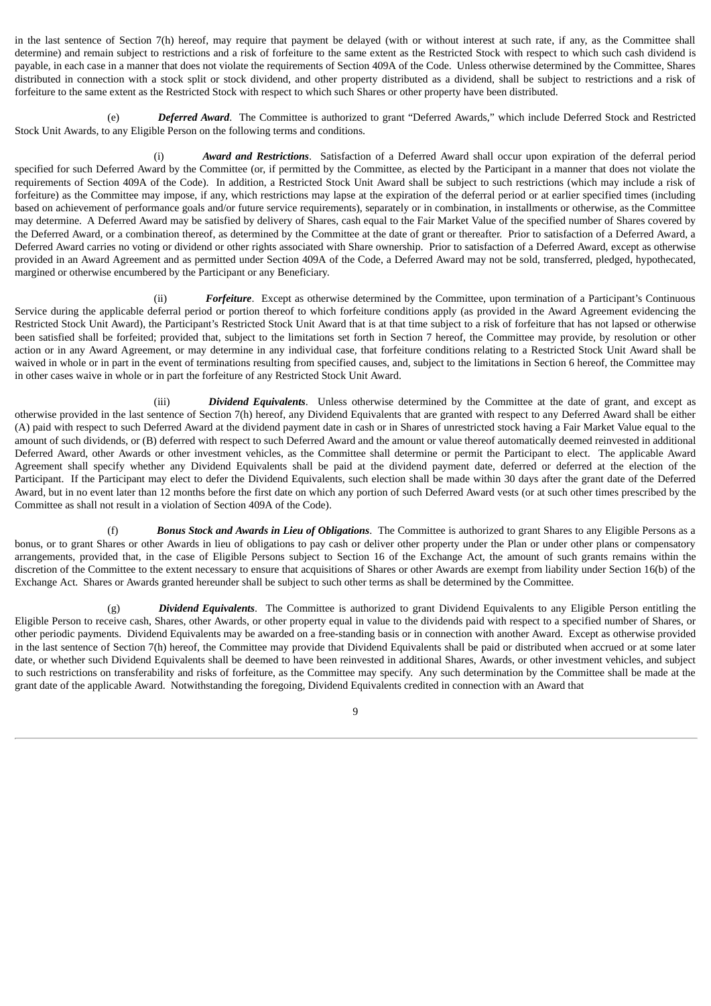in the last sentence of Section 7(h) hereof, may require that payment be delayed (with or without interest at such rate, if any, as the Committee shall determine) and remain subject to restrictions and a risk of forfeiture to the same extent as the Restricted Stock with respect to which such cash dividend is payable, in each case in a manner that does not violate the requirements of Section 409A of the Code. Unless otherwise determined by the Committee, Shares distributed in connection with a stock split or stock dividend, and other property distributed as a dividend, shall be subject to restrictions and a risk of forfeiture to the same extent as the Restricted Stock with respect to which such Shares or other property have been distributed.

(e) *Deferred Award*. The Committee is authorized to grant "Deferred Awards," which include Deferred Stock and Restricted Stock Unit Awards, to any Eligible Person on the following terms and conditions.

(i) *Award and Restrictions*. Satisfaction of a Deferred Award shall occur upon expiration of the deferral period specified for such Deferred Award by the Committee (or, if permitted by the Committee, as elected by the Participant in a manner that does not violate the requirements of Section 409A of the Code). In addition, a Restricted Stock Unit Award shall be subject to such restrictions (which may include a risk of forfeiture) as the Committee may impose, if any, which restrictions may lapse at the expiration of the deferral period or at earlier specified times (including based on achievement of performance goals and/or future service requirements), separately or in combination, in installments or otherwise, as the Committee may determine. A Deferred Award may be satisfied by delivery of Shares, cash equal to the Fair Market Value of the specified number of Shares covered by the Deferred Award, or a combination thereof, as determined by the Committee at the date of grant or thereafter. Prior to satisfaction of a Deferred Award, a Deferred Award carries no voting or dividend or other rights associated with Share ownership. Prior to satisfaction of a Deferred Award, except as otherwise provided in an Award Agreement and as permitted under Section 409A of the Code, a Deferred Award may not be sold, transferred, pledged, hypothecated, margined or otherwise encumbered by the Participant or any Beneficiary.

(ii) *Forfeiture*. Except as otherwise determined by the Committee, upon termination of a Participant's Continuous Service during the applicable deferral period or portion thereof to which forfeiture conditions apply (as provided in the Award Agreement evidencing the Restricted Stock Unit Award), the Participant's Restricted Stock Unit Award that is at that time subject to a risk of forfeiture that has not lapsed or otherwise been satisfied shall be forfeited; provided that, subject to the limitations set forth in Section 7 hereof, the Committee may provide, by resolution or other action or in any Award Agreement, or may determine in any individual case, that forfeiture conditions relating to a Restricted Stock Unit Award shall be waived in whole or in part in the event of terminations resulting from specified causes, and, subject to the limitations in Section 6 hereof, the Committee may in other cases waive in whole or in part the forfeiture of any Restricted Stock Unit Award.

(iii) *Dividend Equivalents*. Unless otherwise determined by the Committee at the date of grant, and except as otherwise provided in the last sentence of Section 7(h) hereof, any Dividend Equivalents that are granted with respect to any Deferred Award shall be either (A) paid with respect to such Deferred Award at the dividend payment date in cash or in Shares of unrestricted stock having a Fair Market Value equal to the amount of such dividends, or (B) deferred with respect to such Deferred Award and the amount or value thereof automatically deemed reinvested in additional Deferred Award, other Awards or other investment vehicles, as the Committee shall determine or permit the Participant to elect. The applicable Award Agreement shall specify whether any Dividend Equivalents shall be paid at the dividend payment date, deferred or deferred at the election of the Participant. If the Participant may elect to defer the Dividend Equivalents, such election shall be made within 30 days after the grant date of the Deferred Award, but in no event later than 12 months before the first date on which any portion of such Deferred Award vests (or at such other times prescribed by the Committee as shall not result in a violation of Section 409A of the Code).

(f) *Bonus Stock and Awards in Lieu of Obligations*. The Committee is authorized to grant Shares to any Eligible Persons as a bonus, or to grant Shares or other Awards in lieu of obligations to pay cash or deliver other property under the Plan or under other plans or compensatory arrangements, provided that, in the case of Eligible Persons subject to Section 16 of the Exchange Act, the amount of such grants remains within the discretion of the Committee to the extent necessary to ensure that acquisitions of Shares or other Awards are exempt from liability under Section 16(b) of the Exchange Act. Shares or Awards granted hereunder shall be subject to such other terms as shall be determined by the Committee.

(g) *Dividend Equivalents*. The Committee is authorized to grant Dividend Equivalents to any Eligible Person entitling the Eligible Person to receive cash, Shares, other Awards, or other property equal in value to the dividends paid with respect to a specified number of Shares, or other periodic payments. Dividend Equivalents may be awarded on a free-standing basis or in connection with another Award. Except as otherwise provided in the last sentence of Section 7(h) hereof, the Committee may provide that Dividend Equivalents shall be paid or distributed when accrued or at some later date, or whether such Dividend Equivalents shall be deemed to have been reinvested in additional Shares, Awards, or other investment vehicles, and subject to such restrictions on transferability and risks of forfeiture, as the Committee may specify. Any such determination by the Committee shall be made at the grant date of the applicable Award. Notwithstanding the foregoing, Dividend Equivalents credited in connection with an Award that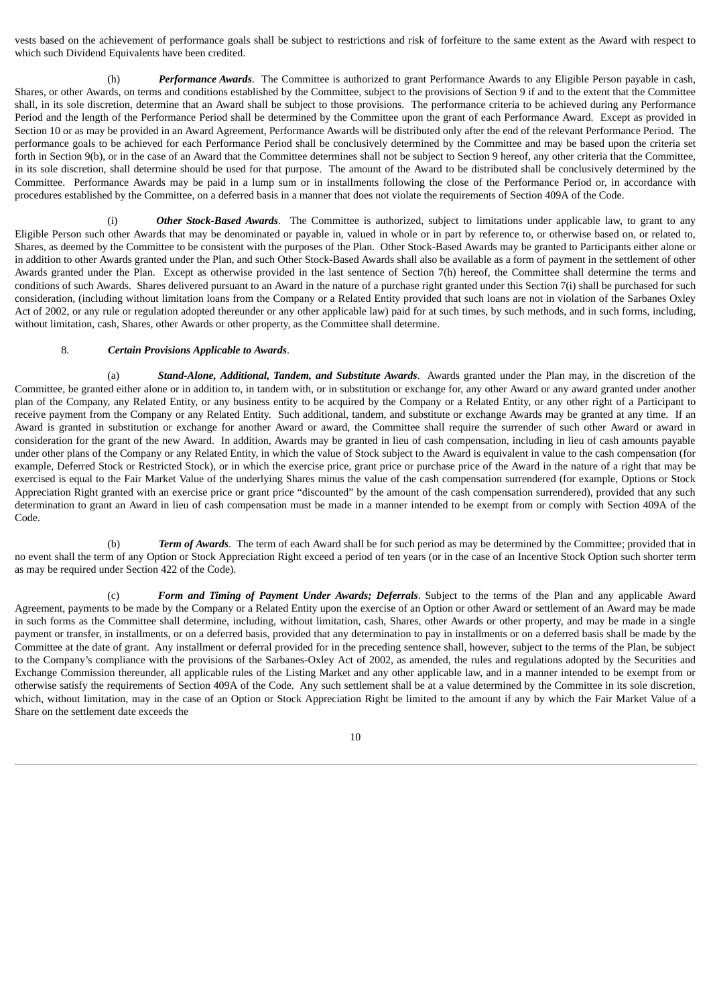vests based on the achievement of performance goals shall be subject to restrictions and risk of forfeiture to the same extent as the Award with respect to which such Dividend Equivalents have been credited.

(h) *Performance Awards*. The Committee is authorized to grant Performance Awards to any Eligible Person payable in cash, Shares, or other Awards, on terms and conditions established by the Committee, subject to the provisions of Section 9 if and to the extent that the Committee shall, in its sole discretion, determine that an Award shall be subject to those provisions. The performance criteria to be achieved during any Performance Period and the length of the Performance Period shall be determined by the Committee upon the grant of each Performance Award. Except as provided in Section 10 or as may be provided in an Award Agreement, Performance Awards will be distributed only after the end of the relevant Performance Period. The performance goals to be achieved for each Performance Period shall be conclusively determined by the Committee and may be based upon the criteria set forth in Section 9(b), or in the case of an Award that the Committee determines shall not be subject to Section 9 hereof, any other criteria that the Committee, in its sole discretion, shall determine should be used for that purpose. The amount of the Award to be distributed shall be conclusively determined by the Committee. Performance Awards may be paid in a lump sum or in installments following the close of the Performance Period or, in accordance with procedures established by the Committee, on a deferred basis in a manner that does not violate the requirements of Section 409A of the Code.

(i) *Other Stock-Based Awards*. The Committee is authorized, subject to limitations under applicable law, to grant to any Eligible Person such other Awards that may be denominated or payable in, valued in whole or in part by reference to, or otherwise based on, or related to, Shares, as deemed by the Committee to be consistent with the purposes of the Plan. Other Stock-Based Awards may be granted to Participants either alone or in addition to other Awards granted under the Plan, and such Other Stock-Based Awards shall also be available as a form of payment in the settlement of other Awards granted under the Plan. Except as otherwise provided in the last sentence of Section 7(h) hereof, the Committee shall determine the terms and conditions of such Awards. Shares delivered pursuant to an Award in the nature of a purchase right granted under this Section 7(i) shall be purchased for such consideration, (including without limitation loans from the Company or a Related Entity provided that such loans are not in violation of the Sarbanes Oxley Act of 2002, or any rule or regulation adopted thereunder or any other applicable law) paid for at such times, by such methods, and in such forms, including, without limitation, cash, Shares, other Awards or other property, as the Committee shall determine.

#### 8. *Certain Provisions Applicable to Awards*.

<span id="page-16-0"></span>(a) *Stand-Alone, Additional, Tandem, and Substitute Awards*. Awards granted under the Plan may, in the discretion of the Committee, be granted either alone or in addition to, in tandem with, or in substitution or exchange for, any other Award or any award granted under another plan of the Company, any Related Entity, or any business entity to be acquired by the Company or a Related Entity, or any other right of a Participant to receive payment from the Company or any Related Entity. Such additional, tandem, and substitute or exchange Awards may be granted at any time. If an Award is granted in substitution or exchange for another Award or award, the Committee shall require the surrender of such other Award or award in consideration for the grant of the new Award. In addition, Awards may be granted in lieu of cash compensation, including in lieu of cash amounts payable under other plans of the Company or any Related Entity, in which the value of Stock subject to the Award is equivalent in value to the cash compensation (for example, Deferred Stock or Restricted Stock), or in which the exercise price, grant price or purchase price of the Award in the nature of a right that may be exercised is equal to the Fair Market Value of the underlying Shares minus the value of the cash compensation surrendered (for example, Options or Stock Appreciation Right granted with an exercise price or grant price "discounted" by the amount of the cash compensation surrendered), provided that any such determination to grant an Award in lieu of cash compensation must be made in a manner intended to be exempt from or comply with Section 409A of the Code.

(b) *Term of Awards*. The term of each Award shall be for such period as may be determined by the Committee; provided that in no event shall the term of any Option or Stock Appreciation Right exceed a period of ten years (or in the case of an Incentive Stock Option such shorter term as may be required under Section 422 of the Code).

(c) *Form and Timing of Payment Under Awards; Deferrals*. Subject to the terms of the Plan and any applicable Award Agreement, payments to be made by the Company or a Related Entity upon the exercise of an Option or other Award or settlement of an Award may be made in such forms as the Committee shall determine, including, without limitation, cash, Shares, other Awards or other property, and may be made in a single payment or transfer, in installments, or on a deferred basis, provided that any determination to pay in installments or on a deferred basis shall be made by the Committee at the date of grant. Any installment or deferral provided for in the preceding sentence shall, however, subject to the terms of the Plan, be subject to the Company's compliance with the provisions of the Sarbanes-Oxley Act of 2002, as amended, the rules and regulations adopted by the Securities and Exchange Commission thereunder, all applicable rules of the Listing Market and any other applicable law, and in a manner intended to be exempt from or otherwise satisfy the requirements of Section 409A of the Code. Any such settlement shall be at a value determined by the Committee in its sole discretion, which, without limitation, may in the case of an Option or Stock Appreciation Right be limited to the amount if any by which the Fair Market Value of a Share on the settlement date exceeds the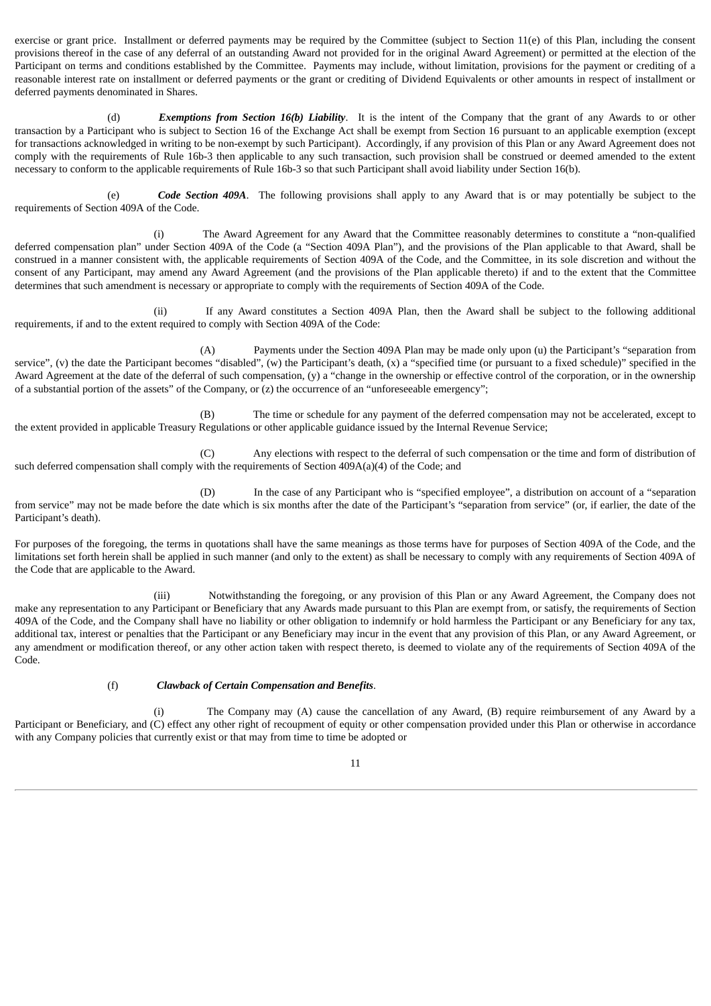exercise or grant price. Installment or deferred payments may be required by the Committee (subject to Section 11(e) of this Plan, including the consent provisions thereof in the case of any deferral of an outstanding Award not provided for in the original Award Agreement) or permitted at the election of the Participant on terms and conditions established by the Committee. Payments may include, without limitation, provisions for the payment or crediting of a reasonable interest rate on installment or deferred payments or the grant or crediting of Dividend Equivalents or other amounts in respect of installment or deferred payments denominated in Shares.

(d) *Exemptions from Section 16(b) Liability*. It is the intent of the Company that the grant of any Awards to or other transaction by a Participant who is subject to Section 16 of the Exchange Act shall be exempt from Section 16 pursuant to an applicable exemption (except for transactions acknowledged in writing to be non-exempt by such Participant). Accordingly, if any provision of this Plan or any Award Agreement does not comply with the requirements of Rule 16b-3 then applicable to any such transaction, such provision shall be construed or deemed amended to the extent necessary to conform to the applicable requirements of Rule 16b-3 so that such Participant shall avoid liability under Section 16(b).

(e) *Code Section 409A*. The following provisions shall apply to any Award that is or may potentially be subject to the requirements of Section 409A of the Code.

(i) The Award Agreement for any Award that the Committee reasonably determines to constitute a "non-qualified deferred compensation plan" under Section 409A of the Code (a "Section 409A Plan"), and the provisions of the Plan applicable to that Award, shall be construed in a manner consistent with, the applicable requirements of Section 409A of the Code, and the Committee, in its sole discretion and without the consent of any Participant, may amend any Award Agreement (and the provisions of the Plan applicable thereto) if and to the extent that the Committee determines that such amendment is necessary or appropriate to comply with the requirements of Section 409A of the Code.

(ii) If any Award constitutes a Section 409A Plan, then the Award shall be subject to the following additional requirements, if and to the extent required to comply with Section 409A of the Code:

(A) Payments under the Section 409A Plan may be made only upon (u) the Participant's "separation from service", (v) the date the Participant becomes "disabled", (w) the Participant's death,  $(x)$  a "specified time (or pursuant to a fixed schedule)" specified in the Award Agreement at the date of the deferral of such compensation, (y) a "change in the ownership or effective control of the corporation, or in the ownership of a substantial portion of the assets" of the Company, or (z) the occurrence of an "unforeseeable emergency";

(B) The time or schedule for any payment of the deferred compensation may not be accelerated, except to the extent provided in applicable Treasury Regulations or other applicable guidance issued by the Internal Revenue Service;

(C) Any elections with respect to the deferral of such compensation or the time and form of distribution of such deferred compensation shall comply with the requirements of Section 409A(a)(4) of the Code; and

(D) In the case of any Participant who is "specified employee", a distribution on account of a "separation from service" may not be made before the date which is six months after the date of the Participant's "separation from service" (or, if earlier, the date of the Participant's death).

For purposes of the foregoing, the terms in quotations shall have the same meanings as those terms have for purposes of Section 409A of the Code, and the limitations set forth herein shall be applied in such manner (and only to the extent) as shall be necessary to comply with any requirements of Section 409A of the Code that are applicable to the Award.

(iii) Notwithstanding the foregoing, or any provision of this Plan or any Award Agreement, the Company does not make any representation to any Participant or Beneficiary that any Awards made pursuant to this Plan are exempt from, or satisfy, the requirements of Section 409A of the Code, and the Company shall have no liability or other obligation to indemnify or hold harmless the Participant or any Beneficiary for any tax, additional tax, interest or penalties that the Participant or any Beneficiary may incur in the event that any provision of this Plan, or any Award Agreement, or any amendment or modification thereof, or any other action taken with respect thereto, is deemed to violate any of the requirements of Section 409A of the Code.

(f) *Clawback of Certain Compensation and Benefits*.

(i) The Company may (A) cause the cancellation of any Award, (B) require reimbursement of any Award by a Participant or Beneficiary, and (C) effect any other right of recoupment of equity or other compensation provided under this Plan or otherwise in accordance with any Company policies that currently exist or that may from time to time be adopted or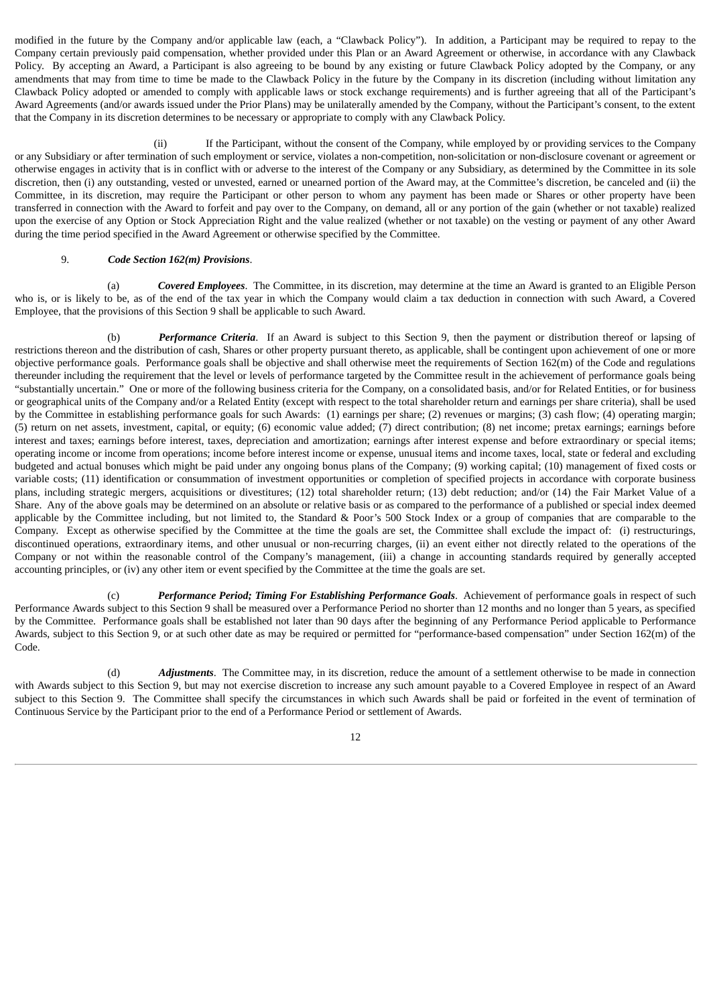modified in the future by the Company and/or applicable law (each, a "Clawback Policy"). In addition, a Participant may be required to repay to the Company certain previously paid compensation, whether provided under this Plan or an Award Agreement or otherwise, in accordance with any Clawback Policy. By accepting an Award, a Participant is also agreeing to be bound by any existing or future Clawback Policy adopted by the Company, or any amendments that may from time to time be made to the Clawback Policy in the future by the Company in its discretion (including without limitation any Clawback Policy adopted or amended to comply with applicable laws or stock exchange requirements) and is further agreeing that all of the Participant's Award Agreements (and/or awards issued under the Prior Plans) may be unilaterally amended by the Company, without the Participant's consent, to the extent that the Company in its discretion determines to be necessary or appropriate to comply with any Clawback Policy.

(ii) If the Participant, without the consent of the Company, while employed by or providing services to the Company or any Subsidiary or after termination of such employment or service, violates a non-competition, non-solicitation or non-disclosure covenant or agreement or otherwise engages in activity that is in conflict with or adverse to the interest of the Company or any Subsidiary, as determined by the Committee in its sole discretion, then (i) any outstanding, vested or unvested, earned or unearned portion of the Award may, at the Committee's discretion, be canceled and (ii) the Committee, in its discretion, may require the Participant or other person to whom any payment has been made or Shares or other property have been transferred in connection with the Award to forfeit and pay over to the Company, on demand, all or any portion of the gain (whether or not taxable) realized upon the exercise of any Option or Stock Appreciation Right and the value realized (whether or not taxable) on the vesting or payment of any other Award during the time period specified in the Award Agreement or otherwise specified by the Committee.

#### 9. *Code Section 162(m) Provisions*.

<span id="page-18-0"></span>(a) *Covered Employees*. The Committee, in its discretion, may determine at the time an Award is granted to an Eligible Person who is, or is likely to be, as of the end of the tax year in which the Company would claim a tax deduction in connection with such Award, a Covered Employee, that the provisions of this Section 9 shall be applicable to such Award.

(b) *Performance Criteria*. If an Award is subject to this Section 9, then the payment or distribution thereof or lapsing of restrictions thereon and the distribution of cash, Shares or other property pursuant thereto, as applicable, shall be contingent upon achievement of one or more objective performance goals. Performance goals shall be objective and shall otherwise meet the requirements of Section 162(m) of the Code and regulations thereunder including the requirement that the level or levels of performance targeted by the Committee result in the achievement of performance goals being "substantially uncertain." One or more of the following business criteria for the Company, on a consolidated basis, and/or for Related Entities, or for business or geographical units of the Company and/or a Related Entity (except with respect to the total shareholder return and earnings per share criteria), shall be used by the Committee in establishing performance goals for such Awards: (1) earnings per share; (2) revenues or margins; (3) cash flow; (4) operating margin; (5) return on net assets, investment, capital, or equity; (6) economic value added; (7) direct contribution; (8) net income; pretax earnings; earnings before interest and taxes; earnings before interest, taxes, depreciation and amortization; earnings after interest expense and before extraordinary or special items; operating income or income from operations; income before interest income or expense, unusual items and income taxes, local, state or federal and excluding budgeted and actual bonuses which might be paid under any ongoing bonus plans of the Company; (9) working capital; (10) management of fixed costs or variable costs; (11) identification or consummation of investment opportunities or completion of specified projects in accordance with corporate business plans, including strategic mergers, acquisitions or divestitures; (12) total shareholder return; (13) debt reduction; and/or (14) the Fair Market Value of a Share. Any of the above goals may be determined on an absolute or relative basis or as compared to the performance of a published or special index deemed applicable by the Committee including, but not limited to, the Standard & Poor's 500 Stock Index or a group of companies that are comparable to the Company. Except as otherwise specified by the Committee at the time the goals are set, the Committee shall exclude the impact of: (i) restructurings, discontinued operations, extraordinary items, and other unusual or non-recurring charges, (ii) an event either not directly related to the operations of the Company or not within the reasonable control of the Company's management, (iii) a change in accounting standards required by generally accepted accounting principles, or (iv) any other item or event specified by the Committee at the time the goals are set.

(c) *Performance Period; Timing For Establishing Performance Goals*. Achievement of performance goals in respect of such Performance Awards subject to this Section 9 shall be measured over a Performance Period no shorter than 12 months and no longer than 5 years, as specified by the Committee. Performance goals shall be established not later than 90 days after the beginning of any Performance Period applicable to Performance Awards, subject to this Section 9, or at such other date as may be required or permitted for "performance-based compensation" under Section 162(m) of the Code.

(d) *Adjustments*. The Committee may, in its discretion, reduce the amount of a settlement otherwise to be made in connection with Awards subject to this Section 9, but may not exercise discretion to increase any such amount payable to a Covered Employee in respect of an Award subject to this Section 9. The Committee shall specify the circumstances in which such Awards shall be paid or forfeited in the event of termination of Continuous Service by the Participant prior to the end of a Performance Period or settlement of Awards.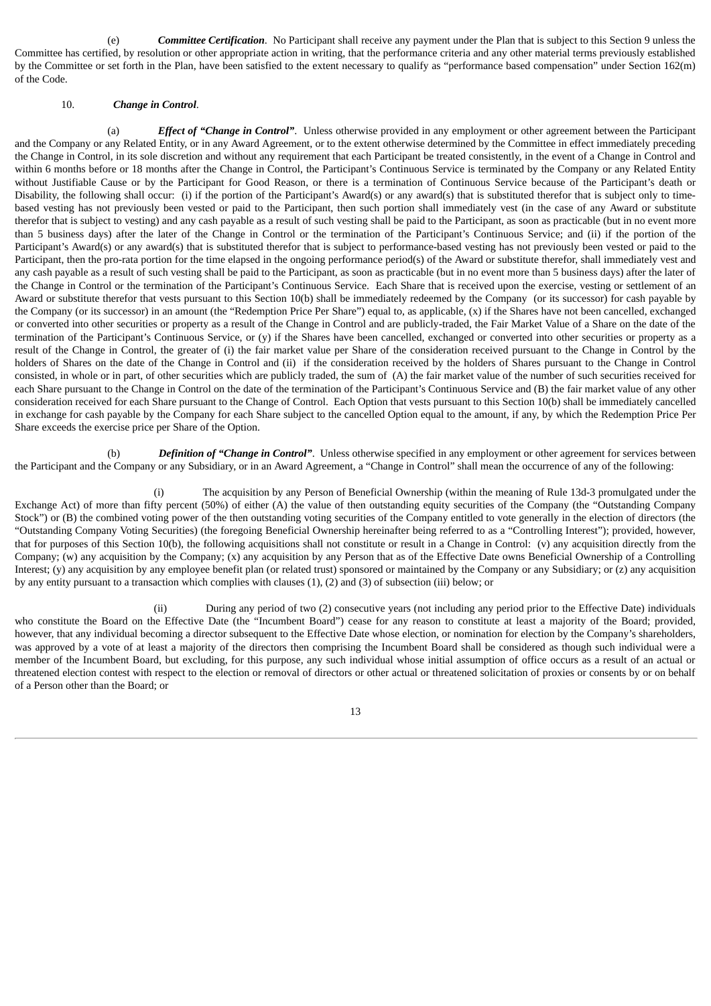(e) *Committee Certification*. No Participant shall receive any payment under the Plan that is subject to this Section 9 unless the Committee has certified, by resolution or other appropriate action in writing, that the performance criteria and any other material terms previously established by the Committee or set forth in the Plan, have been satisfied to the extent necessary to qualify as "performance based compensation" under Section 162(m) of the Code.

#### 10. *Change in Control*.

<span id="page-19-0"></span>(a) *Effect of "Change in Control"*. Unless otherwise provided in any employment or other agreement between the Participant and the Company or any Related Entity, or in any Award Agreement, or to the extent otherwise determined by the Committee in effect immediately preceding the Change in Control, in its sole discretion and without any requirement that each Participant be treated consistently, in the event of a Change in Control and within 6 months before or 18 months after the Change in Control, the Participant's Continuous Service is terminated by the Company or any Related Entity without Justifiable Cause or by the Participant for Good Reason, or there is a termination of Continuous Service because of the Participant's death or Disability, the following shall occur: (i) if the portion of the Participant's Award(s) or any award(s) that is substituted therefor that is subject only to timebased vesting has not previously been vested or paid to the Participant, then such portion shall immediately vest (in the case of any Award or substitute therefor that is subject to vesting) and any cash payable as a result of such vesting shall be paid to the Participant, as soon as practicable (but in no event more than 5 business days) after the later of the Change in Control or the termination of the Participant's Continuous Service; and (ii) if the portion of the Participant's Award(s) or any award(s) that is substituted therefor that is subject to performance-based vesting has not previously been vested or paid to the Participant, then the pro-rata portion for the time elapsed in the ongoing performance period(s) of the Award or substitute therefor, shall immediately vest and any cash payable as a result of such vesting shall be paid to the Participant, as soon as practicable (but in no event more than 5 business days) after the later of the Change in Control or the termination of the Participant's Continuous Service. Each Share that is received upon the exercise, vesting or settlement of an Award or substitute therefor that vests pursuant to this Section 10(b) shall be immediately redeemed by the Company (or its successor) for cash payable by the Company (or its successor) in an amount (the "Redemption Price Per Share") equal to, as applicable, (x) if the Shares have not been cancelled, exchanged or converted into other securities or property as a result of the Change in Control and are publicly-traded, the Fair Market Value of a Share on the date of the termination of the Participant's Continuous Service, or (y) if the Shares have been cancelled, exchanged or converted into other securities or property as a result of the Change in Control, the greater of (i) the fair market value per Share of the consideration received pursuant to the Change in Control by the holders of Shares on the date of the Change in Control and (ii) if the consideration received by the holders of Shares pursuant to the Change in Control consisted, in whole or in part, of other securities which are publicly traded, the sum of (A) the fair market value of the number of such securities received for each Share pursuant to the Change in Control on the date of the termination of the Participant's Continuous Service and (B) the fair market value of any other consideration received for each Share pursuant to the Change of Control. Each Option that vests pursuant to this Section 10(b) shall be immediately cancelled in exchange for cash payable by the Company for each Share subject to the cancelled Option equal to the amount, if any, by which the Redemption Price Per Share exceeds the exercise price per Share of the Option.

(b) *Definition of "Change in Control"*. Unless otherwise specified in any employment or other agreement for services between the Participant and the Company or any Subsidiary, or in an Award Agreement, a "Change in Control" shall mean the occurrence of any of the following:

(i) The acquisition by any Person of Beneficial Ownership (within the meaning of Rule 13d-3 promulgated under the Exchange Act) of more than fifty percent (50%) of either (A) the value of then outstanding equity securities of the Company (the "Outstanding Company Stock") or (B) the combined voting power of the then outstanding voting securities of the Company entitled to vote generally in the election of directors (the "Outstanding Company Voting Securities) (the foregoing Beneficial Ownership hereinafter being referred to as a "Controlling Interest"); provided, however, that for purposes of this Section 10(b), the following acquisitions shall not constitute or result in a Change in Control: (v) any acquisition directly from the Company; (w) any acquisition by the Company; (x) any acquisition by any Person that as of the Effective Date owns Beneficial Ownership of a Controlling Interest; (y) any acquisition by any employee benefit plan (or related trust) sponsored or maintained by the Company or any Subsidiary; or (z) any acquisition by any entity pursuant to a transaction which complies with clauses (1), (2) and (3) of subsection (iii) below; or

(ii) During any period of two (2) consecutive years (not including any period prior to the Effective Date) individuals who constitute the Board on the Effective Date (the "Incumbent Board") cease for any reason to constitute at least a majority of the Board; provided, however, that any individual becoming a director subsequent to the Effective Date whose election, or nomination for election by the Company's shareholders, was approved by a vote of at least a majority of the directors then comprising the Incumbent Board shall be considered as though such individual were a member of the Incumbent Board, but excluding, for this purpose, any such individual whose initial assumption of office occurs as a result of an actual or threatened election contest with respect to the election or removal of directors or other actual or threatened solicitation of proxies or consents by or on behalf of a Person other than the Board; or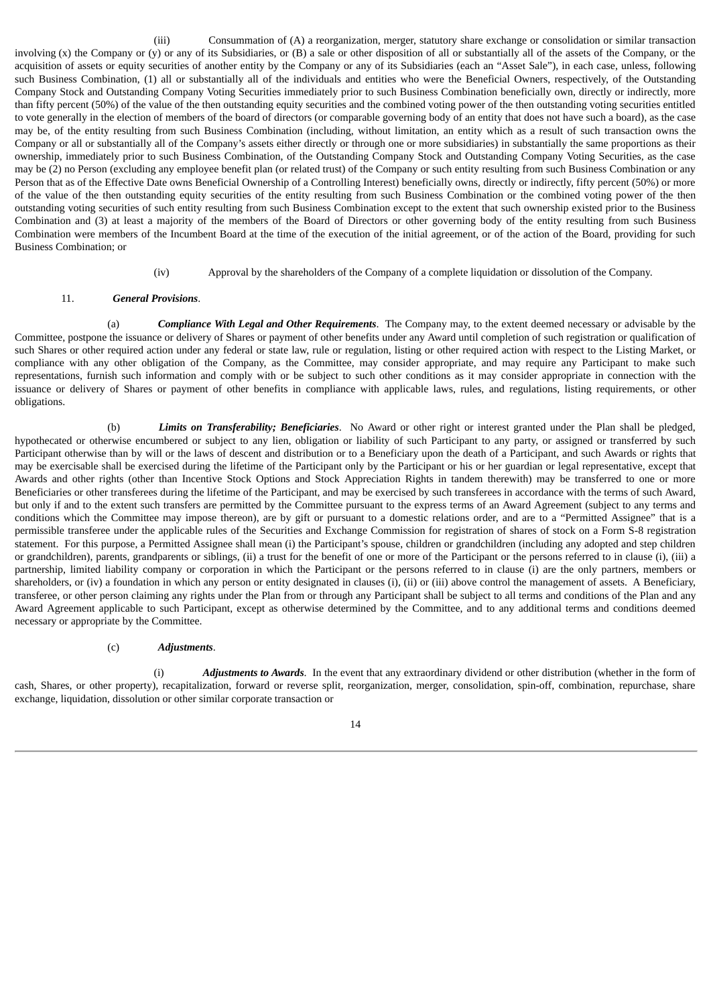(iii) Consummation of (A) a reorganization, merger, statutory share exchange or consolidation or similar transaction involving (x) the Company or (y) or any of its Subsidiaries, or (B) a sale or other disposition of all or substantially all of the assets of the Company, or the acquisition of assets or equity securities of another entity by the Company or any of its Subsidiaries (each an "Asset Sale"), in each case, unless, following such Business Combination, (1) all or substantially all of the individuals and entities who were the Beneficial Owners, respectively, of the Outstanding Company Stock and Outstanding Company Voting Securities immediately prior to such Business Combination beneficially own, directly or indirectly, more than fifty percent (50%) of the value of the then outstanding equity securities and the combined voting power of the then outstanding voting securities entitled to vote generally in the election of members of the board of directors (or comparable governing body of an entity that does not have such a board), as the case may be, of the entity resulting from such Business Combination (including, without limitation, an entity which as a result of such transaction owns the Company or all or substantially all of the Company's assets either directly or through one or more subsidiaries) in substantially the same proportions as their ownership, immediately prior to such Business Combination, of the Outstanding Company Stock and Outstanding Company Voting Securities, as the case may be (2) no Person (excluding any employee benefit plan (or related trust) of the Company or such entity resulting from such Business Combination or any Person that as of the Effective Date owns Beneficial Ownership of a Controlling Interest) beneficially owns, directly or indirectly, fifty percent (50%) or more of the value of the then outstanding equity securities of the entity resulting from such Business Combination or the combined voting power of the then outstanding voting securities of such entity resulting from such Business Combination except to the extent that such ownership existed prior to the Business Combination and (3) at least a majority of the members of the Board of Directors or other governing body of the entity resulting from such Business Combination were members of the Incumbent Board at the time of the execution of the initial agreement, or of the action of the Board, providing for such Business Combination; or

(iv) Approval by the shareholders of the Company of a complete liquidation or dissolution of the Company.

#### 11. *General Provisions*.

<span id="page-20-0"></span>(a) *Compliance With Legal and Other Requirements*. The Company may, to the extent deemed necessary or advisable by the Committee, postpone the issuance or delivery of Shares or payment of other benefits under any Award until completion of such registration or qualification of such Shares or other required action under any federal or state law, rule or regulation, listing or other required action with respect to the Listing Market, or compliance with any other obligation of the Company, as the Committee, may consider appropriate, and may require any Participant to make such representations, furnish such information and comply with or be subject to such other conditions as it may consider appropriate in connection with the issuance or delivery of Shares or payment of other benefits in compliance with applicable laws, rules, and regulations, listing requirements, or other obligations.

(b) *Limits on Transferability; Beneficiaries*. No Award or other right or interest granted under the Plan shall be pledged, hypothecated or otherwise encumbered or subject to any lien, obligation or liability of such Participant to any party, or assigned or transferred by such Participant otherwise than by will or the laws of descent and distribution or to a Beneficiary upon the death of a Participant, and such Awards or rights that may be exercisable shall be exercised during the lifetime of the Participant only by the Participant or his or her guardian or legal representative, except that Awards and other rights (other than Incentive Stock Options and Stock Appreciation Rights in tandem therewith) may be transferred to one or more Beneficiaries or other transferees during the lifetime of the Participant, and may be exercised by such transferees in accordance with the terms of such Award, but only if and to the extent such transfers are permitted by the Committee pursuant to the express terms of an Award Agreement (subject to any terms and conditions which the Committee may impose thereon), are by gift or pursuant to a domestic relations order, and are to a "Permitted Assignee" that is a permissible transferee under the applicable rules of the Securities and Exchange Commission for registration of shares of stock on a Form S-8 registration statement. For this purpose, a Permitted Assignee shall mean (i) the Participant's spouse, children or grandchildren (including any adopted and step children or grandchildren), parents, grandparents or siblings, (ii) a trust for the benefit of one or more of the Participant or the persons referred to in clause (i), (iii) a partnership, limited liability company or corporation in which the Participant or the persons referred to in clause (i) are the only partners, members or shareholders, or (iv) a foundation in which any person or entity designated in clauses (i), (ii) or (iii) above control the management of assets. A Beneficiary, transferee, or other person claiming any rights under the Plan from or through any Participant shall be subject to all terms and conditions of the Plan and any Award Agreement applicable to such Participant, except as otherwise determined by the Committee, and to any additional terms and conditions deemed necessary or appropriate by the Committee.

#### (c) *Adjustments*.

(i) *Adjustments to Awards*. In the event that any extraordinary dividend or other distribution (whether in the form of cash, Shares, or other property), recapitalization, forward or reverse split, reorganization, merger, consolidation, spin-off, combination, repurchase, share exchange, liquidation, dissolution or other similar corporate transaction or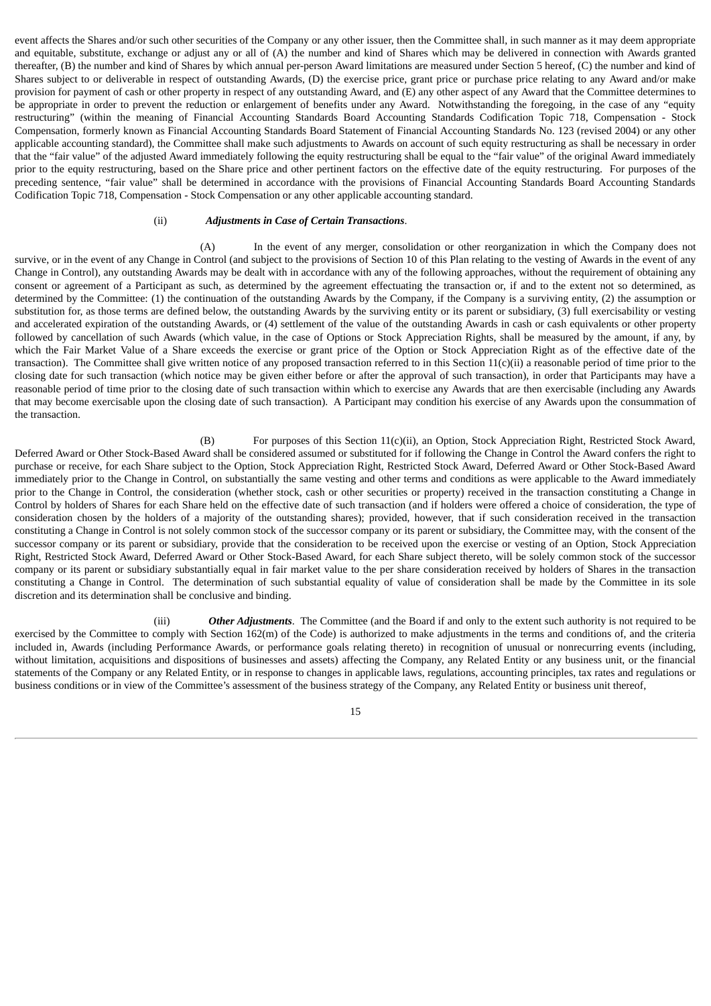event affects the Shares and/or such other securities of the Company or any other issuer, then the Committee shall, in such manner as it may deem appropriate and equitable, substitute, exchange or adjust any or all of (A) the number and kind of Shares which may be delivered in connection with Awards granted thereafter, (B) the number and kind of Shares by which annual per-person Award limitations are measured under Section 5 hereof, (C) the number and kind of Shares subject to or deliverable in respect of outstanding Awards, (D) the exercise price, grant price or purchase price relating to any Award and/or make provision for payment of cash or other property in respect of any outstanding Award, and (E) any other aspect of any Award that the Committee determines to be appropriate in order to prevent the reduction or enlargement of benefits under any Award. Notwithstanding the foregoing, in the case of any "equity restructuring" (within the meaning of Financial Accounting Standards Board Accounting Standards Codification Topic 718, Compensation - Stock Compensation, formerly known as Financial Accounting Standards Board Statement of Financial Accounting Standards No. 123 (revised 2004) or any other applicable accounting standard), the Committee shall make such adjustments to Awards on account of such equity restructuring as shall be necessary in order that the "fair value" of the adjusted Award immediately following the equity restructuring shall be equal to the "fair value" of the original Award immediately prior to the equity restructuring, based on the Share price and other pertinent factors on the effective date of the equity restructuring. For purposes of the preceding sentence, "fair value" shall be determined in accordance with the provisions of Financial Accounting Standards Board Accounting Standards Codification Topic 718, Compensation - Stock Compensation or any other applicable accounting standard.

#### (ii) *Adjustments in Case of Certain Transactions*.

(A) In the event of any merger, consolidation or other reorganization in which the Company does not survive, or in the event of any Change in Control (and subject to the provisions of Section 10 of this Plan relating to the vesting of Awards in the event of any Change in Control), any outstanding Awards may be dealt with in accordance with any of the following approaches, without the requirement of obtaining any consent or agreement of a Participant as such, as determined by the agreement effectuating the transaction or, if and to the extent not so determined, as determined by the Committee: (1) the continuation of the outstanding Awards by the Company, if the Company is a surviving entity, (2) the assumption or substitution for, as those terms are defined below, the outstanding Awards by the surviving entity or its parent or subsidiary, (3) full exercisability or vesting and accelerated expiration of the outstanding Awards, or (4) settlement of the value of the outstanding Awards in cash or cash equivalents or other property followed by cancellation of such Awards (which value, in the case of Options or Stock Appreciation Rights, shall be measured by the amount, if any, by which the Fair Market Value of a Share exceeds the exercise or grant price of the Option or Stock Appreciation Right as of the effective date of the transaction). The Committee shall give written notice of any proposed transaction referred to in this Section 11(c)(ii) a reasonable period of time prior to the closing date for such transaction (which notice may be given either before or after the approval of such transaction), in order that Participants may have a reasonable period of time prior to the closing date of such transaction within which to exercise any Awards that are then exercisable (including any Awards that may become exercisable upon the closing date of such transaction). A Participant may condition his exercise of any Awards upon the consummation of the transaction.

(B) For purposes of this Section 11(c)(ii), an Option, Stock Appreciation Right, Restricted Stock Award, Deferred Award or Other Stock-Based Award shall be considered assumed or substituted for if following the Change in Control the Award confers the right to purchase or receive, for each Share subject to the Option, Stock Appreciation Right, Restricted Stock Award, Deferred Award or Other Stock-Based Award immediately prior to the Change in Control, on substantially the same vesting and other terms and conditions as were applicable to the Award immediately prior to the Change in Control, the consideration (whether stock, cash or other securities or property) received in the transaction constituting a Change in Control by holders of Shares for each Share held on the effective date of such transaction (and if holders were offered a choice of consideration, the type of consideration chosen by the holders of a majority of the outstanding shares); provided, however, that if such consideration received in the transaction constituting a Change in Control is not solely common stock of the successor company or its parent or subsidiary, the Committee may, with the consent of the successor company or its parent or subsidiary, provide that the consideration to be received upon the exercise or vesting of an Option, Stock Appreciation Right, Restricted Stock Award, Deferred Award or Other Stock-Based Award, for each Share subject thereto, will be solely common stock of the successor company or its parent or subsidiary substantially equal in fair market value to the per share consideration received by holders of Shares in the transaction constituting a Change in Control. The determination of such substantial equality of value of consideration shall be made by the Committee in its sole discretion and its determination shall be conclusive and binding.

(iii) *Other Adjustments*. The Committee (and the Board if and only to the extent such authority is not required to be exercised by the Committee to comply with Section 162(m) of the Code) is authorized to make adjustments in the terms and conditions of, and the criteria included in, Awards (including Performance Awards, or performance goals relating thereto) in recognition of unusual or nonrecurring events (including, without limitation, acquisitions and dispositions of businesses and assets) affecting the Company, any Related Entity or any business unit, or the financial statements of the Company or any Related Entity, or in response to changes in applicable laws, regulations, accounting principles, tax rates and regulations or business conditions or in view of the Committee's assessment of the business strategy of the Company, any Related Entity or business unit thereof,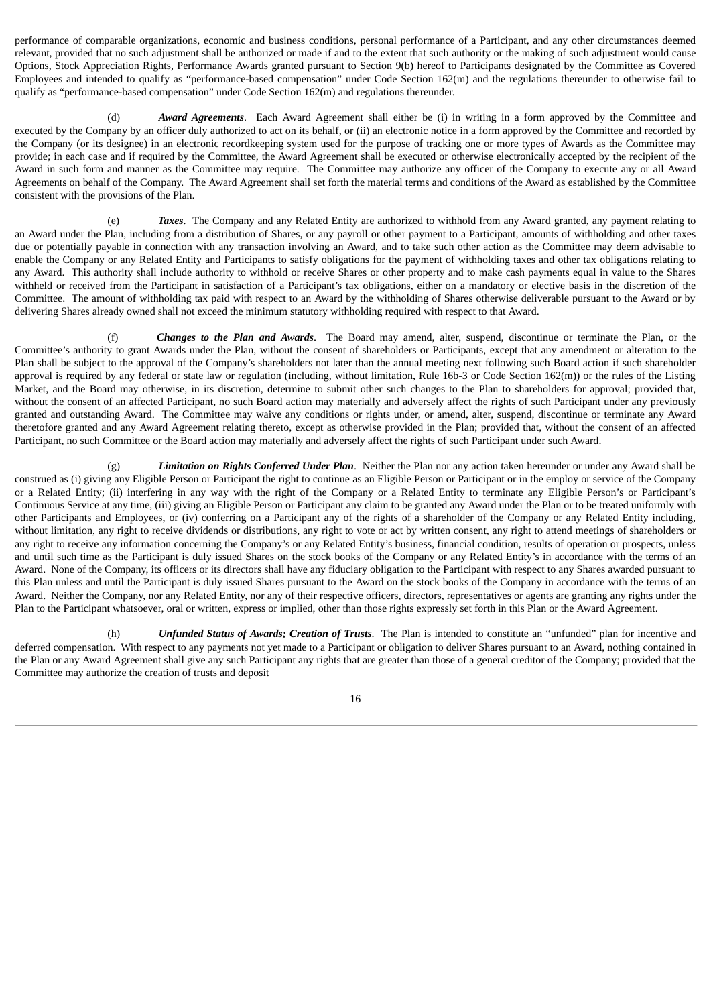performance of comparable organizations, economic and business conditions, personal performance of a Participant, and any other circumstances deemed relevant, provided that no such adjustment shall be authorized or made if and to the extent that such authority or the making of such adjustment would cause Options, Stock Appreciation Rights, Performance Awards granted pursuant to Section 9(b) hereof to Participants designated by the Committee as Covered Employees and intended to qualify as "performance-based compensation" under Code Section 162(m) and the regulations thereunder to otherwise fail to qualify as "performance-based compensation" under Code Section 162(m) and regulations thereunder.

(d) *Award Agreements*. Each Award Agreement shall either be (i) in writing in a form approved by the Committee and executed by the Company by an officer duly authorized to act on its behalf, or (ii) an electronic notice in a form approved by the Committee and recorded by the Company (or its designee) in an electronic recordkeeping system used for the purpose of tracking one or more types of Awards as the Committee may provide; in each case and if required by the Committee, the Award Agreement shall be executed or otherwise electronically accepted by the recipient of the Award in such form and manner as the Committee may require. The Committee may authorize any officer of the Company to execute any or all Award Agreements on behalf of the Company. The Award Agreement shall set forth the material terms and conditions of the Award as established by the Committee consistent with the provisions of the Plan.

(e) *Taxes*. The Company and any Related Entity are authorized to withhold from any Award granted, any payment relating to an Award under the Plan, including from a distribution of Shares, or any payroll or other payment to a Participant, amounts of withholding and other taxes due or potentially payable in connection with any transaction involving an Award, and to take such other action as the Committee may deem advisable to enable the Company or any Related Entity and Participants to satisfy obligations for the payment of withholding taxes and other tax obligations relating to any Award. This authority shall include authority to withhold or receive Shares or other property and to make cash payments equal in value to the Shares withheld or received from the Participant in satisfaction of a Participant's tax obligations, either on a mandatory or elective basis in the discretion of the Committee. The amount of withholding tax paid with respect to an Award by the withholding of Shares otherwise deliverable pursuant to the Award or by delivering Shares already owned shall not exceed the minimum statutory withholding required with respect to that Award.

(f) *Changes to the Plan and Awards*. The Board may amend, alter, suspend, discontinue or terminate the Plan, or the Committee's authority to grant Awards under the Plan, without the consent of shareholders or Participants, except that any amendment or alteration to the Plan shall be subject to the approval of the Company's shareholders not later than the annual meeting next following such Board action if such shareholder approval is required by any federal or state law or regulation (including, without limitation, Rule 16b-3 or Code Section 162(m)) or the rules of the Listing Market, and the Board may otherwise, in its discretion, determine to submit other such changes to the Plan to shareholders for approval; provided that, without the consent of an affected Participant, no such Board action may materially and adversely affect the rights of such Participant under any previously granted and outstanding Award. The Committee may waive any conditions or rights under, or amend, alter, suspend, discontinue or terminate any Award theretofore granted and any Award Agreement relating thereto, except as otherwise provided in the Plan; provided that, without the consent of an affected Participant, no such Committee or the Board action may materially and adversely affect the rights of such Participant under such Award.

(g) *Limitation on Rights Conferred Under Plan*. Neither the Plan nor any action taken hereunder or under any Award shall be construed as (i) giving any Eligible Person or Participant the right to continue as an Eligible Person or Participant or in the employ or service of the Company or a Related Entity; (ii) interfering in any way with the right of the Company or a Related Entity to terminate any Eligible Person's or Participant's Continuous Service at any time, (iii) giving an Eligible Person or Participant any claim to be granted any Award under the Plan or to be treated uniformly with other Participants and Employees, or (iv) conferring on a Participant any of the rights of a shareholder of the Company or any Related Entity including, without limitation, any right to receive dividends or distributions, any right to vote or act by written consent, any right to attend meetings of shareholders or any right to receive any information concerning the Company's or any Related Entity's business, financial condition, results of operation or prospects, unless and until such time as the Participant is duly issued Shares on the stock books of the Company or any Related Entity's in accordance with the terms of an Award. None of the Company, its officers or its directors shall have any fiduciary obligation to the Participant with respect to any Shares awarded pursuant to this Plan unless and until the Participant is duly issued Shares pursuant to the Award on the stock books of the Company in accordance with the terms of an Award. Neither the Company, nor any Related Entity, nor any of their respective officers, directors, representatives or agents are granting any rights under the Plan to the Participant whatsoever, oral or written, express or implied, other than those rights expressly set forth in this Plan or the Award Agreement.

(h) *Unfunded Status of Awards; Creation of Trusts*. The Plan is intended to constitute an "unfunded" plan for incentive and deferred compensation. With respect to any payments not yet made to a Participant or obligation to deliver Shares pursuant to an Award, nothing contained in the Plan or any Award Agreement shall give any such Participant any rights that are greater than those of a general creditor of the Company; provided that the Committee may authorize the creation of trusts and deposit